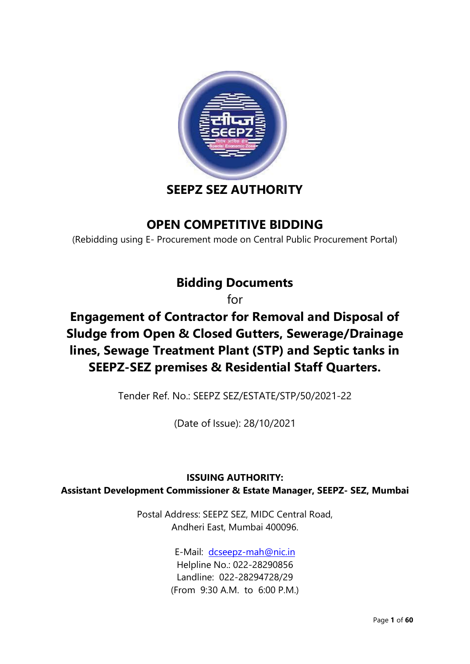

# **SEEPZ SEZ AUTHORITY**

# **OPEN COMPETITIVE BIDDING**

(Rebidding using E- Procurement mode on Central Public Procurement Portal)

# **Bidding Documents**

for

# **Engagement of Contractor for Removal and Disposal of Sludge from Open & Closed Gutters, Sewerage/Drainage lines, Sewage Treatment Plant (STP) and Septic tanks in SEEPZ-SEZ premises & Residential Staff Quarters.**

Tender Ref. No.: SEEPZ SEZ/ESTATE/STP/50/2021-22

(Date of Issue): 28/10/2021

# **ISSUING AUTHORITY: Assistant Development Commissioner & Estate Manager, SEEPZ- SEZ, Mumbai**

Postal Address: SEEPZ SEZ, MIDC Central Road, Andheri East, Mumbai 400096.

> E-Mail: [dcseepz-mah@nic.in](mailto:dcseepz-mah@nic.in) Helpline No.: 022-28290856 Landline: 022-28294728/29 (From 9:30 A.M. to 6:00 P.M.)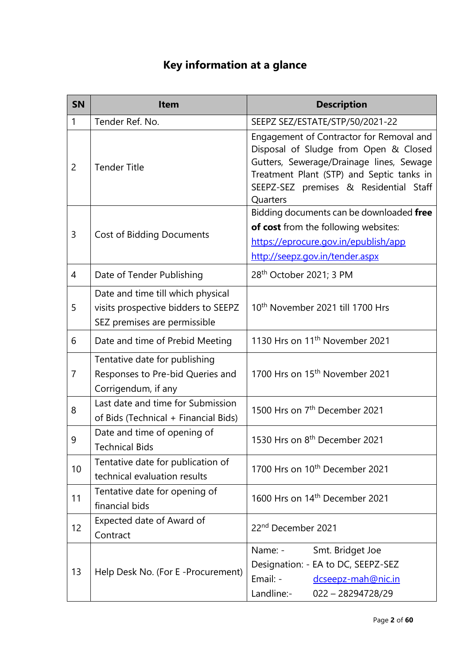# **Key information at a glance**

| <b>SN</b>      | Item                                                                                                     | <b>Description</b>                                                                                                                                                                                                               |
|----------------|----------------------------------------------------------------------------------------------------------|----------------------------------------------------------------------------------------------------------------------------------------------------------------------------------------------------------------------------------|
| $\mathbf{1}$   | Tender Ref. No.                                                                                          | SEEPZ SEZ/ESTATE/STP/50/2021-22                                                                                                                                                                                                  |
| $\overline{2}$ | <b>Tender Title</b>                                                                                      | Engagement of Contractor for Removal and<br>Disposal of Sludge from Open & Closed<br>Gutters, Sewerage/Drainage lines, Sewage<br>Treatment Plant (STP) and Septic tanks in<br>SEEPZ-SEZ premises & Residential Staff<br>Quarters |
| 3              | <b>Cost of Bidding Documents</b>                                                                         | Bidding documents can be downloaded free<br>of cost from the following websites:<br>https://eprocure.gov.in/epublish/app<br>http://seepz.gov.in/tender.aspx                                                                      |
| 4              | Date of Tender Publishing                                                                                | 28 <sup>th</sup> October 2021; 3 PM                                                                                                                                                                                              |
| 5              | Date and time till which physical<br>visits prospective bidders to SEEPZ<br>SEZ premises are permissible | 10 <sup>th</sup> November 2021 till 1700 Hrs                                                                                                                                                                                     |
| 6              | Date and time of Prebid Meeting                                                                          | 1130 Hrs on 11 <sup>th</sup> November 2021                                                                                                                                                                                       |
| $\overline{7}$ | Tentative date for publishing<br>Responses to Pre-bid Queries and<br>Corrigendum, if any                 | 1700 Hrs on 15 <sup>th</sup> November 2021                                                                                                                                                                                       |
| 8              | Last date and time for Submission<br>of Bids (Technical + Financial Bids)                                | 1500 Hrs on 7 <sup>th</sup> December 2021                                                                                                                                                                                        |
| 9              | Date and time of opening of<br><b>Technical Bids</b>                                                     | 1530 Hrs on 8 <sup>th</sup> December 2021                                                                                                                                                                                        |
| 10             | Tentative date for publication of<br>technical evaluation results                                        | 1700 Hrs on 10 <sup>th</sup> December 2021                                                                                                                                                                                       |
| 11             | Tentative date for opening of<br>financial bids                                                          | 1600 Hrs on 14 <sup>th</sup> December 2021                                                                                                                                                                                       |
| 12             | Expected date of Award of<br>Contract                                                                    | 22 <sup>nd</sup> December 2021                                                                                                                                                                                                   |
| 13             | Help Desk No. (For E -Procurement)                                                                       | Smt. Bridget Joe<br>Name: -<br>Designation: - EA to DC, SEEPZ-SEZ<br>Email: -<br>dcseepz-mah@nic.in<br>Landline:-<br>022 - 28294728/29                                                                                           |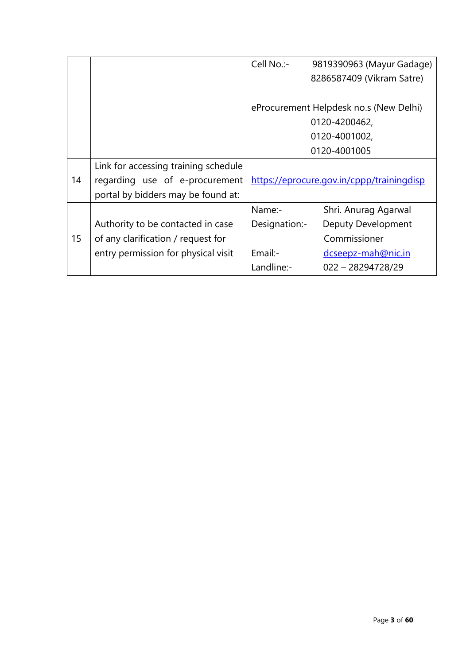|    |                                      | Cell No.:-                             | 9819390963 (Mayur Gadage)                 |  |
|----|--------------------------------------|----------------------------------------|-------------------------------------------|--|
|    |                                      |                                        | 8286587409 (Vikram Satre)                 |  |
|    |                                      |                                        |                                           |  |
|    |                                      | eProcurement Helpdesk no.s (New Delhi) |                                           |  |
|    |                                      |                                        | 0120-4200462,                             |  |
|    |                                      |                                        | 0120-4001002,                             |  |
|    |                                      |                                        | 0120-4001005                              |  |
|    | Link for accessing training schedule |                                        |                                           |  |
| 14 | regarding use of e-procurement       |                                        | https://eprocure.gov.in/cppp/trainingdisp |  |
|    | portal by bidders may be found at:   |                                        |                                           |  |
|    |                                      | Name:-                                 | Shri. Anurag Agarwal                      |  |
|    | Authority to be contacted in case    | Designation:-                          | <b>Deputy Development</b>                 |  |
| 15 | of any clarification / request for   |                                        | Commissioner                              |  |
|    | entry permission for physical visit  | Email:-                                | dcseepz-mah@nic.in                        |  |
|    |                                      | Landline:-                             | $022 - 28294728/29$                       |  |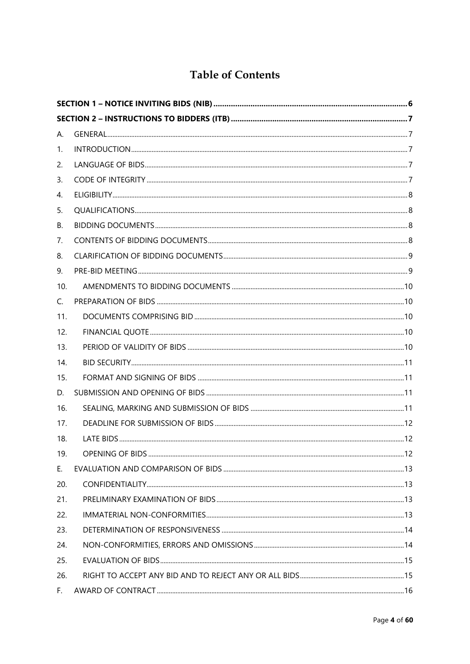# **Table of Contents**

| А.  |  |
|-----|--|
| 1.  |  |
| 2.  |  |
| 3.  |  |
| 4.  |  |
| 5.  |  |
| В.  |  |
| 7.  |  |
| 8.  |  |
| 9.  |  |
| 10. |  |
| C.  |  |
| 11. |  |
| 12. |  |
| 13. |  |
| 14. |  |
| 15. |  |
| D.  |  |
| 16. |  |
| 17. |  |
| 18. |  |
| 19. |  |
| Ε.  |  |
| 20. |  |
| 21. |  |
| 22. |  |
| 23. |  |
| 24. |  |
| 25. |  |
| 26. |  |
| F.  |  |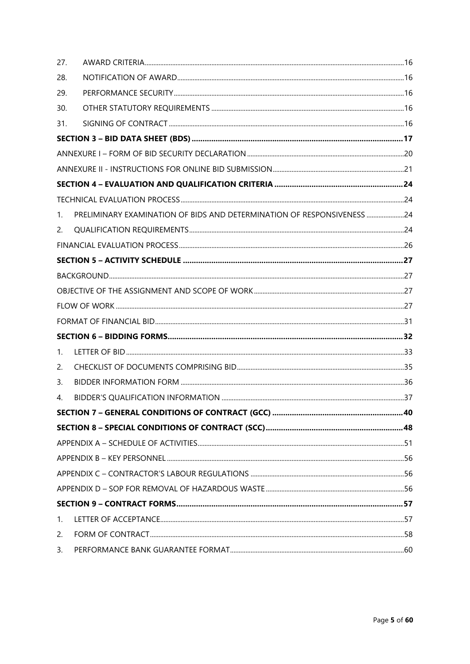| 27.         |                                                                        |  |
|-------------|------------------------------------------------------------------------|--|
| 28.         |                                                                        |  |
| 29.         |                                                                        |  |
| 30.         |                                                                        |  |
| 31.         |                                                                        |  |
|             |                                                                        |  |
|             |                                                                        |  |
|             |                                                                        |  |
|             |                                                                        |  |
|             |                                                                        |  |
| $1_{\cdot}$ | PRELIMINARY EXAMINATION OF BIDS AND DETERMINATION OF RESPONSIVENESS 24 |  |
| 2.          |                                                                        |  |
|             |                                                                        |  |
|             |                                                                        |  |
|             |                                                                        |  |
|             |                                                                        |  |
|             |                                                                        |  |
|             |                                                                        |  |
|             |                                                                        |  |
| 1.          |                                                                        |  |
| 2.          |                                                                        |  |
| 3.          |                                                                        |  |
| 4.          |                                                                        |  |
|             |                                                                        |  |
|             |                                                                        |  |
|             |                                                                        |  |
|             |                                                                        |  |
|             |                                                                        |  |
|             |                                                                        |  |
|             |                                                                        |  |
| 1.          |                                                                        |  |
| 2.          |                                                                        |  |
| 3.          |                                                                        |  |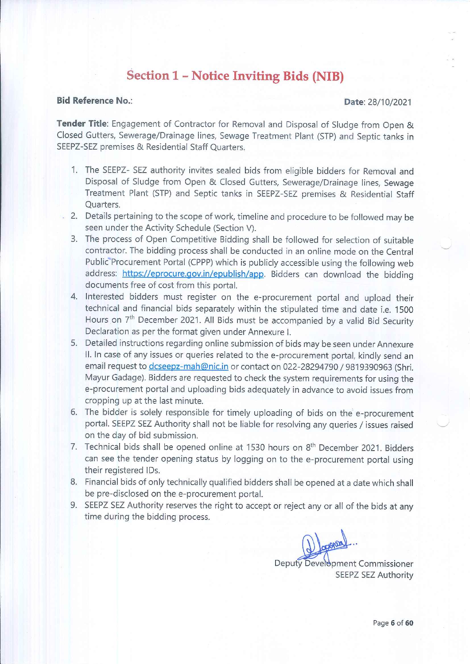# **Section 1 - Notice Inviting Bids (NIB)**

#### **Bid Reference No.:**

#### Date: 28/10/2021

Tender Title: Engagement of Contractor for Removal and Disposal of Sludge from Open & Closed Gutters, Sewerage/Drainage lines, Sewage Treatment Plant (STP) and Septic tanks in SEEPZ-SEZ premises & Residential Staff Quarters.

- 1. The SEEPZ- SEZ authority invites sealed bids from eligible bidders for Removal and Disposal of Sludge from Open & Closed Gutters, Sewerage/Drainage lines, Sewage Treatment Plant (STP) and Septic tanks in SEEPZ-SEZ premises & Residential Staff Ouarters.
- 2. Details pertaining to the scope of work, timeline and procedure to be followed may be seen under the Activity Schedule (Section V).
- 3. The process of Open Competitive Bidding shall be followed for selection of suitable contractor. The bidding process shall be conducted in an online mode on the Central Public Procurement Portal (CPPP) which is publicly accessible using the following web address: https://eprocure.gov.in/epublish/app. Bidders can download the bidding documents free of cost from this portal.
- 4. Interested bidders must register on the e-procurement portal and upload their technical and financial bids separately within the stipulated time and date i.e. 1500 Hours on 7<sup>th</sup> December 2021. All Bids must be accompanied by a valid Bid Security Declaration as per the format given under Annexure I.
- 5. Detailed instructions regarding online submission of bids may be seen under Annexure II. In case of any issues or queries related to the e-procurement portal, kindly send an email request to dcseepz-mah@nic.in or contact on 022-28294790 / 9819390963 (Shri. Mayur Gadage). Bidders are requested to check the system requirements for using the e-procurement portal and uploading bids adequately in advance to avoid issues from cropping up at the last minute.
- 6. The bidder is solely responsible for timely uploading of bids on the e-procurement portal. SEEPZ SEZ Authority shall not be liable for resolving any queries / issues raised on the day of bid submission.
- 7. Technical bids shall be opened online at 1530 hours on 8<sup>th</sup> December 2021. Bidders can see the tender opening status by logging on to the e-procurement portal using their registered IDs.
- 8. Financial bids of only technically qualified bidders shall be opened at a date which shall be pre-disclosed on the e-procurement portal.
- 9. SEEPZ SEZ Authority reserves the right to accept or reject any or all of the bids at any time during the bidding process.

Deputy Development Commissioner SEEPZ SEZ Authority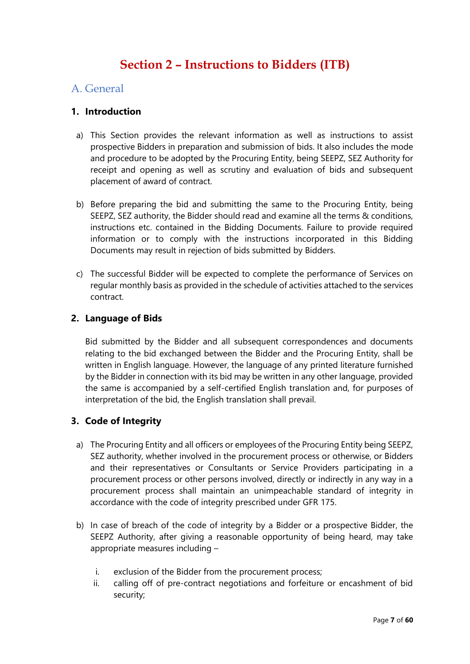# **Section 2 – Instructions to Bidders (ITB)**

## A. General

## **1. Introduction**

- a) This Section provides the relevant information as well as instructions to assist prospective Bidders in preparation and submission of bids. It also includes the mode and procedure to be adopted by the Procuring Entity, being SEEPZ, SEZ Authority for receipt and opening as well as scrutiny and evaluation of bids and subsequent placement of award of contract.
- b) Before preparing the bid and submitting the same to the Procuring Entity, being SEEPZ, SEZ authority, the Bidder should read and examine all the terms & conditions, instructions etc. contained in the Bidding Documents. Failure to provide required information or to comply with the instructions incorporated in this Bidding Documents may result in rejection of bids submitted by Bidders.
- c) The successful Bidder will be expected to complete the performance of Services on regular monthly basis as provided in the schedule of activities attached to the services contract.

### **2. Language of Bids**

Bid submitted by the Bidder and all subsequent correspondences and documents relating to the bid exchanged between the Bidder and the Procuring Entity, shall be written in English language. However, the language of any printed literature furnished by the Bidder in connection with its bid may be written in any other language, provided the same is accompanied by a self-certified English translation and, for purposes of interpretation of the bid, the English translation shall prevail.

### **3. Code of Integrity**

- a) The Procuring Entity and all officers or employees of the Procuring Entity being SEEPZ, SEZ authority, whether involved in the procurement process or otherwise, or Bidders and their representatives or Consultants or Service Providers participating in a procurement process or other persons involved, directly or indirectly in any way in a procurement process shall maintain an unimpeachable standard of integrity in accordance with the code of integrity prescribed under GFR 175.
- b) In case of breach of the code of integrity by a Bidder or a prospective Bidder, the SEEPZ Authority, after giving a reasonable opportunity of being heard, may take appropriate measures including –
	- i. exclusion of the Bidder from the procurement process;
	- ii. calling off of pre-contract negotiations and forfeiture or encashment of bid security;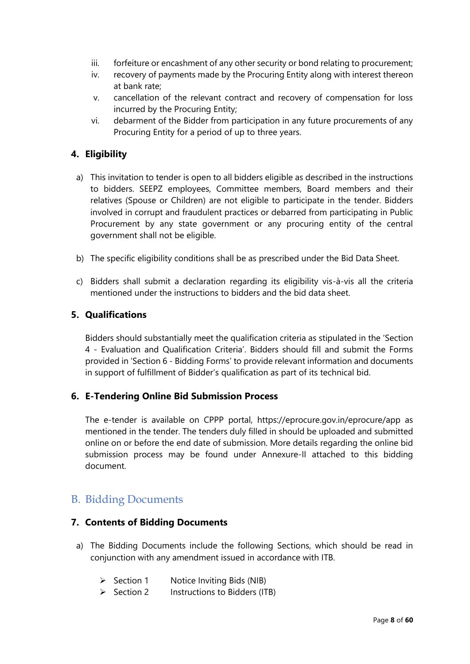- iii. forfeiture or encashment of any other security or bond relating to procurement;
- iv. recovery of payments made by the Procuring Entity along with interest thereon at bank rate;
- v. cancellation of the relevant contract and recovery of compensation for loss incurred by the Procuring Entity;
- vi. debarment of the Bidder from participation in any future procurements of any Procuring Entity for a period of up to three years.

## **4. Eligibility**

- a) This invitation to tender is open to all bidders eligible as described in the instructions to bidders. SEEPZ employees, Committee members, Board members and their relatives (Spouse or Children) are not eligible to participate in the tender. Bidders involved in corrupt and fraudulent practices or debarred from participating in Public Procurement by any state government or any procuring entity of the central government shall not be eligible.
- b) The specific eligibility conditions shall be as prescribed under the Bid Data Sheet.
- c) Bidders shall submit a declaration regarding its eligibility vis-à-vis all the criteria mentioned under the instructions to bidders and the bid data sheet.

### **5. Qualifications**

Bidders should substantially meet the qualification criteria as stipulated in the 'Section 4 - Evaluation and Qualification Criteria'. Bidders should fill and submit the Forms provided in 'Section 6 - Bidding Forms' to provide relevant information and documents in support of fulfillment of Bidder's qualification as part of its technical bid.

### **6. E-Tendering Online Bid Submission Process**

The e-tender is available on CPPP portal, https://eprocure.gov.in/eprocure/app as mentioned in the tender. The tenders duly filled in should be uploaded and submitted online on or before the end date of submission. More details regarding the online bid submission process may be found under Annexure-II attached to this bidding document.

## B. Bidding Documents

#### **7. Contents of Bidding Documents**

- a) The Bidding Documents include the following Sections, which should be read in conjunction with any amendment issued in accordance with ITB.
	- ➢ Section 1 Notice Inviting Bids (NIB)
	- ➢ Section 2 Instructions to Bidders (ITB)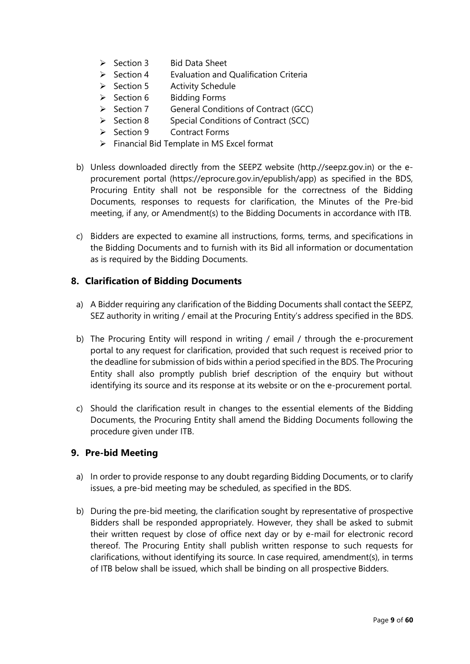- ➢ Section 3 Bid Data Sheet
- $\triangleright$  Section 4 Evaluation and Qualification Criteria
- ➢ Section 5 Activity Schedule
- ➢ Section 6 Bidding Forms
- ➢ Section 7 General Conditions of Contract (GCC)
- ➢ Section 8 Special Conditions of Contract (SCC)
- ➢ Section 9 Contract Forms
- ➢ Financial Bid Template in MS Excel format
- b) Unless downloaded directly from the SEEPZ website (http.//seepz.gov.in) or the eprocurement portal (https://eprocure.gov.in/epublish/app) as specified in the BDS, Procuring Entity shall not be responsible for the correctness of the Bidding Documents, responses to requests for clarification, the Minutes of the Pre-bid meeting, if any, or Amendment(s) to the Bidding Documents in accordance with ITB.
- c) Bidders are expected to examine all instructions, forms, terms, and specifications in the Bidding Documents and to furnish with its Bid all information or documentation as is required by the Bidding Documents.

### **8. Clarification of Bidding Documents**

- a) A Bidder requiring any clarification of the Bidding Documents shall contact the SEEPZ, SEZ authority in writing / email at the Procuring Entity's address specified in the BDS.
- b) The Procuring Entity will respond in writing / email / through the e-procurement portal to any request for clarification, provided that such request is received prior to the deadline for submission of bids within a period specified in the BDS. The Procuring Entity shall also promptly publish brief description of the enquiry but without identifying its source and its response at its website or on the e-procurement portal.
- c) Should the clarification result in changes to the essential elements of the Bidding Documents, the Procuring Entity shall amend the Bidding Documents following the procedure given under ITB.

### **9. Pre-bid Meeting**

- a) In order to provide response to any doubt regarding Bidding Documents, or to clarify issues, a pre-bid meeting may be scheduled, as specified in the BDS.
- b) During the pre-bid meeting, the clarification sought by representative of prospective Bidders shall be responded appropriately. However, they shall be asked to submit their written request by close of office next day or by e-mail for electronic record thereof. The Procuring Entity shall publish written response to such requests for clarifications, without identifying its source. In case required, amendment(s), in terms of ITB below shall be issued, which shall be binding on all prospective Bidders.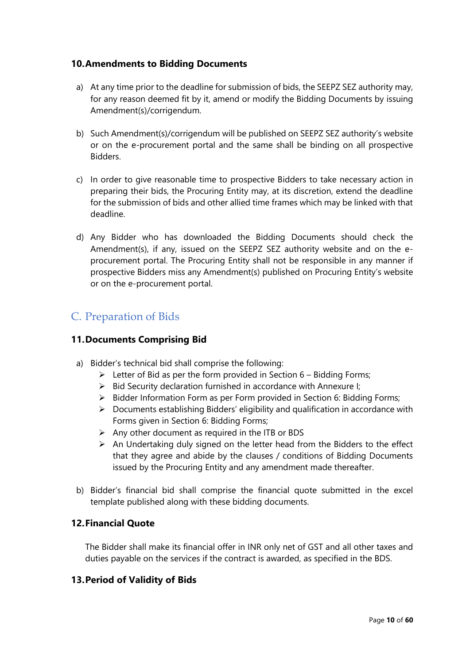## **10.Amendments to Bidding Documents**

- a) At any time prior to the deadline for submission of bids, the SEEPZ SEZ authority may, for any reason deemed fit by it, amend or modify the Bidding Documents by issuing Amendment(s)/corrigendum.
- b) Such Amendment(s)/corrigendum will be published on SEEPZ SEZ authority's website or on the e-procurement portal and the same shall be binding on all prospective Bidders.
- c) In order to give reasonable time to prospective Bidders to take necessary action in preparing their bids, the Procuring Entity may, at its discretion, extend the deadline for the submission of bids and other allied time frames which may be linked with that deadline.
- d) Any Bidder who has downloaded the Bidding Documents should check the Amendment(s), if any, issued on the SEEPZ SEZ authority website and on the eprocurement portal. The Procuring Entity shall not be responsible in any manner if prospective Bidders miss any Amendment(s) published on Procuring Entity's website or on the e-procurement portal.

# C. Preparation of Bids

## **11.Documents Comprising Bid**

- a) Bidder's technical bid shall comprise the following:
	- $\triangleright$  Letter of Bid as per the form provided in Section 6 Bidding Forms;
	- ➢ Bid Security declaration furnished in accordance with Annexure I;
	- ➢ Bidder Information Form as per Form provided in Section 6: Bidding Forms;
	- ➢ Documents establishing Bidders' eligibility and qualification in accordance with Forms given in Section 6: Bidding Forms;
	- $\triangleright$  Any other document as required in the ITB or BDS
	- $\triangleright$  An Undertaking duly signed on the letter head from the Bidders to the effect that they agree and abide by the clauses / conditions of Bidding Documents issued by the Procuring Entity and any amendment made thereafter.
- b) Bidder's financial bid shall comprise the financial quote submitted in the excel template published along with these bidding documents.

### **12.Financial Quote**

The Bidder shall make its financial offer in INR only net of GST and all other taxes and duties payable on the services if the contract is awarded, as specified in the BDS.

### **13.Period of Validity of Bids**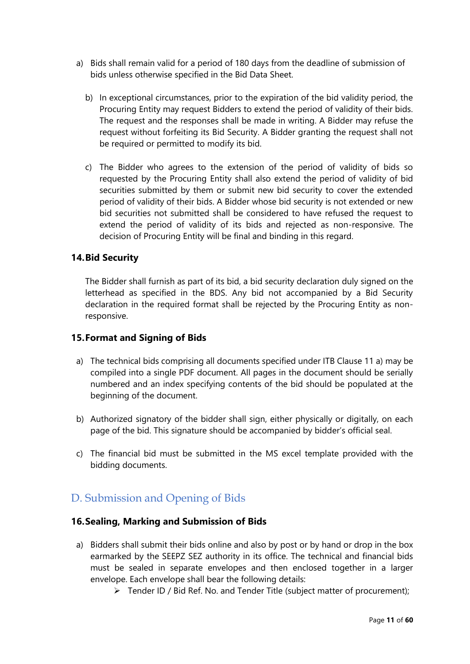- a) Bids shall remain valid for a period of 180 days from the deadline of submission of bids unless otherwise specified in the Bid Data Sheet.
	- b) In exceptional circumstances, prior to the expiration of the bid validity period, the Procuring Entity may request Bidders to extend the period of validity of their bids. The request and the responses shall be made in writing. A Bidder may refuse the request without forfeiting its Bid Security. A Bidder granting the request shall not be required or permitted to modify its bid.
	- c) The Bidder who agrees to the extension of the period of validity of bids so requested by the Procuring Entity shall also extend the period of validity of bid securities submitted by them or submit new bid security to cover the extended period of validity of their bids. A Bidder whose bid security is not extended or new bid securities not submitted shall be considered to have refused the request to extend the period of validity of its bids and rejected as non-responsive. The decision of Procuring Entity will be final and binding in this regard.

#### **14.Bid Security**

The Bidder shall furnish as part of its bid, a bid security declaration duly signed on the letterhead as specified in the BDS. Any bid not accompanied by a Bid Security declaration in the required format shall be rejected by the Procuring Entity as nonresponsive.

#### **15.Format and Signing of Bids**

- a) The technical bids comprising all documents specified under ITB Clause 11 a) may be compiled into a single PDF document. All pages in the document should be serially numbered and an index specifying contents of the bid should be populated at the beginning of the document.
- b) Authorized signatory of the bidder shall sign, either physically or digitally, on each page of the bid. This signature should be accompanied by bidder's official seal.
- c) The financial bid must be submitted in the MS excel template provided with the bidding documents.

# D. Submission and Opening of Bids

#### **16.Sealing, Marking and Submission of Bids**

- a) Bidders shall submit their bids online and also by post or by hand or drop in the box earmarked by the SEEPZ SEZ authority in its office. The technical and financial bids must be sealed in separate envelopes and then enclosed together in a larger envelope. Each envelope shall bear the following details:
	- ➢ Tender ID / Bid Ref. No. and Tender Title (subject matter of procurement);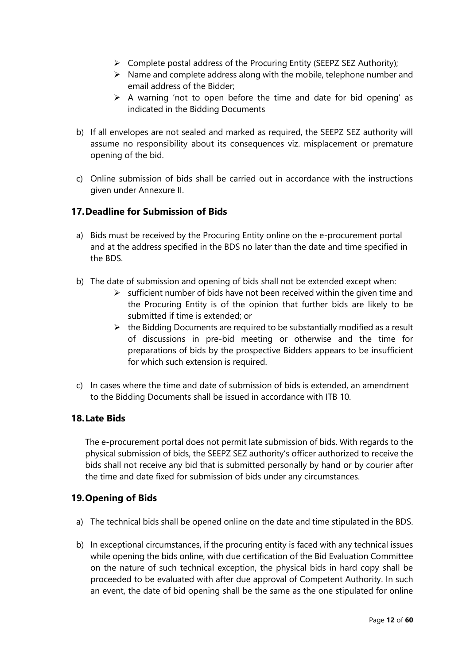- ➢ Complete postal address of the Procuring Entity (SEEPZ SEZ Authority);
- $\triangleright$  Name and complete address along with the mobile, telephone number and email address of the Bidder;
- $\triangleright$  A warning 'not to open before the time and date for bid opening' as indicated in the Bidding Documents
- b) If all envelopes are not sealed and marked as required, the SEEPZ SEZ authority will assume no responsibility about its consequences viz. misplacement or premature opening of the bid.
- c) Online submission of bids shall be carried out in accordance with the instructions given under Annexure II.

## **17.Deadline for Submission of Bids**

- a) Bids must be received by the Procuring Entity online on the e-procurement portal and at the address specified in the BDS no later than the date and time specified in the BDS.
- b) The date of submission and opening of bids shall not be extended except when:
	- $\triangleright$  sufficient number of bids have not been received within the given time and the Procuring Entity is of the opinion that further bids are likely to be submitted if time is extended; or
	- $\triangleright$  the Bidding Documents are required to be substantially modified as a result of discussions in pre-bid meeting or otherwise and the time for preparations of bids by the prospective Bidders appears to be insufficient for which such extension is required.
- c) In cases where the time and date of submission of bids is extended, an amendment to the Bidding Documents shall be issued in accordance with ITB 10.

### **18.Late Bids**

The e-procurement portal does not permit late submission of bids. With regards to the physical submission of bids, the SEEPZ SEZ authority's officer authorized to receive the bids shall not receive any bid that is submitted personally by hand or by courier after the time and date fixed for submission of bids under any circumstances.

### **19.Opening of Bids**

- a) The technical bids shall be opened online on the date and time stipulated in the BDS.
- b) In exceptional circumstances, if the procuring entity is faced with any technical issues while opening the bids online, with due certification of the Bid Evaluation Committee on the nature of such technical exception, the physical bids in hard copy shall be proceeded to be evaluated with after due approval of Competent Authority. In such an event, the date of bid opening shall be the same as the one stipulated for online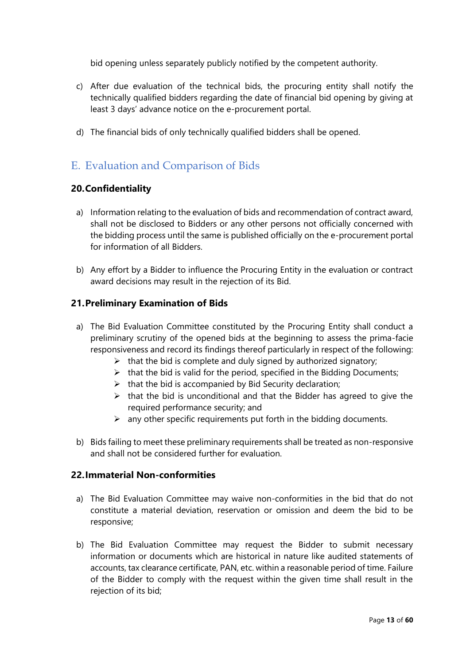bid opening unless separately publicly notified by the competent authority.

- c) After due evaluation of the technical bids, the procuring entity shall notify the technically qualified bidders regarding the date of financial bid opening by giving at least 3 days' advance notice on the e-procurement portal.
- d) The financial bids of only technically qualified bidders shall be opened.

# E. Evaluation and Comparison of Bids

### **20.Confidentiality**

- a) Information relating to the evaluation of bids and recommendation of contract award, shall not be disclosed to Bidders or any other persons not officially concerned with the bidding process until the same is published officially on the e-procurement portal for information of all Bidders.
- b) Any effort by a Bidder to influence the Procuring Entity in the evaluation or contract award decisions may result in the rejection of its Bid.

#### **21.Preliminary Examination of Bids**

- a) The Bid Evaluation Committee constituted by the Procuring Entity shall conduct a preliminary scrutiny of the opened bids at the beginning to assess the prima-facie responsiveness and record its findings thereof particularly in respect of the following:
	- $\triangleright$  that the bid is complete and duly signed by authorized signatory;
	- $\triangleright$  that the bid is valid for the period, specified in the Bidding Documents;
	- $\triangleright$  that the bid is accompanied by Bid Security declaration;
	- $\triangleright$  that the bid is unconditional and that the Bidder has agreed to give the required performance security; and
	- $\triangleright$  any other specific requirements put forth in the bidding documents.
- b) Bids failing to meet these preliminary requirements shall be treated as non-responsive and shall not be considered further for evaluation.

#### **22.Immaterial Non-conformities**

- a) The Bid Evaluation Committee may waive non-conformities in the bid that do not constitute a material deviation, reservation or omission and deem the bid to be responsive;
- b) The Bid Evaluation Committee may request the Bidder to submit necessary information or documents which are historical in nature like audited statements of accounts, tax clearance certificate, PAN, etc. within a reasonable period of time. Failure of the Bidder to comply with the request within the given time shall result in the rejection of its bid;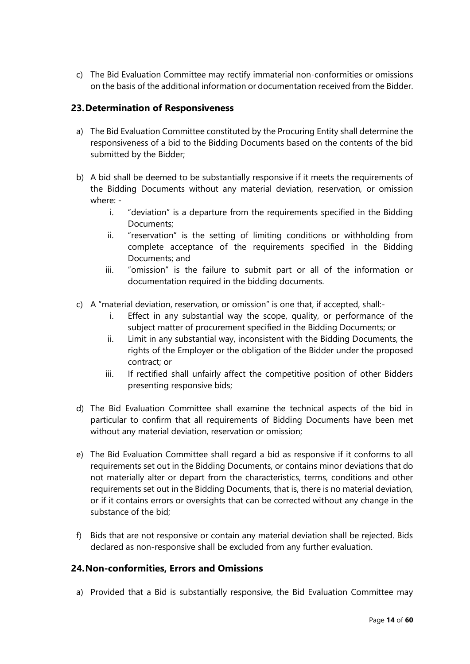c) The Bid Evaluation Committee may rectify immaterial non-conformities or omissions on the basis of the additional information or documentation received from the Bidder.

### **23.Determination of Responsiveness**

- a) The Bid Evaluation Committee constituted by the Procuring Entity shall determine the responsiveness of a bid to the Bidding Documents based on the contents of the bid submitted by the Bidder;
- b) A bid shall be deemed to be substantially responsive if it meets the requirements of the Bidding Documents without any material deviation, reservation, or omission where:
	- i. "deviation" is a departure from the requirements specified in the Bidding Documents;
	- ii. "reservation" is the setting of limiting conditions or withholding from complete acceptance of the requirements specified in the Bidding Documents; and
	- iii. "omission" is the failure to submit part or all of the information or documentation required in the bidding documents.
- c) A "material deviation, reservation, or omission" is one that, if accepted, shall:
	- i. Effect in any substantial way the scope, quality, or performance of the subject matter of procurement specified in the Bidding Documents; or
	- ii. Limit in any substantial way, inconsistent with the Bidding Documents, the rights of the Employer or the obligation of the Bidder under the proposed contract; or
	- iii. If rectified shall unfairly affect the competitive position of other Bidders presenting responsive bids;
- d) The Bid Evaluation Committee shall examine the technical aspects of the bid in particular to confirm that all requirements of Bidding Documents have been met without any material deviation, reservation or omission;
- e) The Bid Evaluation Committee shall regard a bid as responsive if it conforms to all requirements set out in the Bidding Documents, or contains minor deviations that do not materially alter or depart from the characteristics, terms, conditions and other requirements set out in the Bidding Documents, that is, there is no material deviation, or if it contains errors or oversights that can be corrected without any change in the substance of the bid;
- f) Bids that are not responsive or contain any material deviation shall be rejected. Bids declared as non-responsive shall be excluded from any further evaluation.

### **24.Non-conformities, Errors and Omissions**

a) Provided that a Bid is substantially responsive, the Bid Evaluation Committee may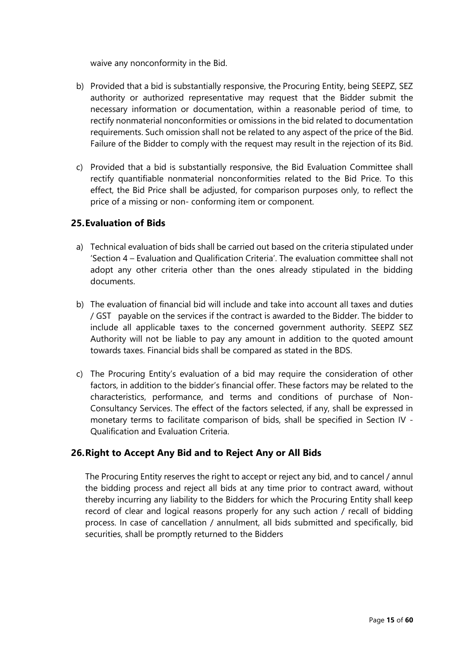waive any nonconformity in the Bid.

- b) Provided that a bid is substantially responsive, the Procuring Entity, being SEEPZ, SEZ authority or authorized representative may request that the Bidder submit the necessary information or documentation, within a reasonable period of time, to rectify nonmaterial nonconformities or omissions in the bid related to documentation requirements. Such omission shall not be related to any aspect of the price of the Bid. Failure of the Bidder to comply with the request may result in the rejection of its Bid.
- c) Provided that a bid is substantially responsive, the Bid Evaluation Committee shall rectify quantifiable nonmaterial nonconformities related to the Bid Price. To this effect, the Bid Price shall be adjusted, for comparison purposes only, to reflect the price of a missing or non- conforming item or component.

### **25.Evaluation of Bids**

- a) Technical evaluation of bids shall be carried out based on the criteria stipulated under 'Section 4 – Evaluation and Qualification Criteria'. The evaluation committee shall not adopt any other criteria other than the ones already stipulated in the bidding documents.
- b) The evaluation of financial bid will include and take into account all taxes and duties / GST payable on the services if the contract is awarded to the Bidder. The bidder to include all applicable taxes to the concerned government authority. SEEPZ SEZ Authority will not be liable to pay any amount in addition to the quoted amount towards taxes. Financial bids shall be compared as stated in the BDS.
- c) The Procuring Entity's evaluation of a bid may require the consideration of other factors, in addition to the bidder's financial offer. These factors may be related to the characteristics, performance, and terms and conditions of purchase of Non-Consultancy Services. The effect of the factors selected, if any, shall be expressed in monetary terms to facilitate comparison of bids, shall be specified in Section IV - Qualification and Evaluation Criteria.

## **26.Right to Accept Any Bid and to Reject Any or All Bids**

The Procuring Entity reserves the right to accept or reject any bid, and to cancel / annul the bidding process and reject all bids at any time prior to contract award, without thereby incurring any liability to the Bidders for which the Procuring Entity shall keep record of clear and logical reasons properly for any such action / recall of bidding process. In case of cancellation / annulment, all bids submitted and specifically, bid securities, shall be promptly returned to the Bidders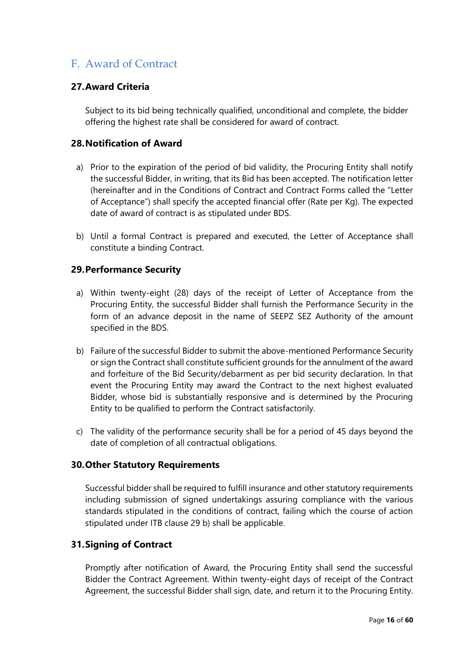# F. Award of Contract

### **27.Award Criteria**

Subject to its bid being technically qualified, unconditional and complete, the bidder offering the highest rate shall be considered for award of contract.

### **28.Notification of Award**

- a) Prior to the expiration of the period of bid validity, the Procuring Entity shall notify the successful Bidder, in writing, that its Bid has been accepted. The notification letter (hereinafter and in the Conditions of Contract and Contract Forms called the "Letter of Acceptance") shall specify the accepted financial offer (Rate per Kg). The expected date of award of contract is as stipulated under BDS.
- b) Until a formal Contract is prepared and executed, the Letter of Acceptance shall constitute a binding Contract.

#### **29.Performance Security**

- a) Within twenty-eight (28) days of the receipt of Letter of Acceptance from the Procuring Entity, the successful Bidder shall furnish the Performance Security in the form of an advance deposit in the name of SEEPZ SEZ Authority of the amount specified in the BDS.
- b) Failure of the successful Bidder to submit the above-mentioned Performance Security or sign the Contract shall constitute sufficient grounds for the annulment of the award and forfeiture of the Bid Security/debarment as per bid security declaration. In that event the Procuring Entity may award the Contract to the next highest evaluated Bidder, whose bid is substantially responsive and is determined by the Procuring Entity to be qualified to perform the Contract satisfactorily.
- c) The validity of the performance security shall be for a period of 45 days beyond the date of completion of all contractual obligations.

#### **30.Other Statutory Requirements**

Successful bidder shall be required to fulfill insurance and other statutory requirements including submission of signed undertakings assuring compliance with the various standards stipulated in the conditions of contract, failing which the course of action stipulated under ITB clause 29 b) shall be applicable.

### **31.Signing of Contract**

Promptly after notification of Award, the Procuring Entity shall send the successful Bidder the Contract Agreement. Within twenty-eight days of receipt of the Contract Agreement, the successful Bidder shall sign, date, and return it to the Procuring Entity.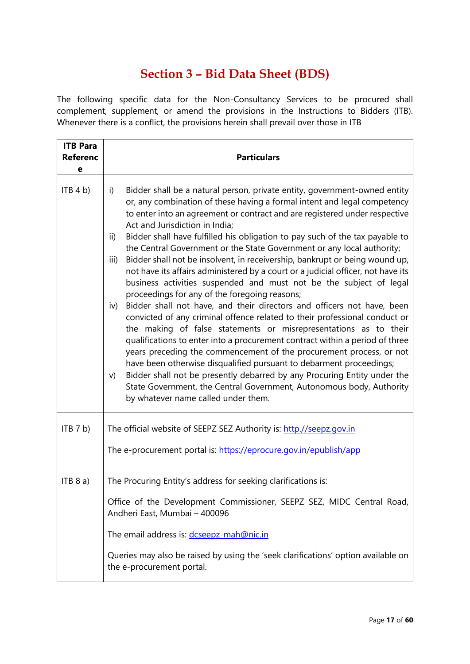# **Section 3 – Bid Data Sheet (BDS)**

The following specific data for the Non-Consultancy Services to be procured shall complement, supplement, or amend the provisions in the Instructions to Bidders (ITB). Whenever there is a conflict, the provisions herein shall prevail over those in ITB

| <b>ITB Para</b><br><b>Referenc</b><br>е | <b>Particulars</b>                                                                                                                                                                                                                                                                                                                                                                                                                                                                                                                                                                                                                                                                                                                                                                                                                                                                                                                                                                                                                                                                                                                                                                                                                                                                                                                                                                                               |
|-----------------------------------------|------------------------------------------------------------------------------------------------------------------------------------------------------------------------------------------------------------------------------------------------------------------------------------------------------------------------------------------------------------------------------------------------------------------------------------------------------------------------------------------------------------------------------------------------------------------------------------------------------------------------------------------------------------------------------------------------------------------------------------------------------------------------------------------------------------------------------------------------------------------------------------------------------------------------------------------------------------------------------------------------------------------------------------------------------------------------------------------------------------------------------------------------------------------------------------------------------------------------------------------------------------------------------------------------------------------------------------------------------------------------------------------------------------------|
| ITB 4 b)                                | Bidder shall be a natural person, private entity, government-owned entity<br>i)<br>or, any combination of these having a formal intent and legal competency<br>to enter into an agreement or contract and are registered under respective<br>Act and Jurisdiction in India;<br>Bidder shall have fulfilled his obligation to pay such of the tax payable to<br>ii)<br>the Central Government or the State Government or any local authority;<br>Bidder shall not be insolvent, in receivership, bankrupt or being wound up,<br>iii)<br>not have its affairs administered by a court or a judicial officer, not have its<br>business activities suspended and must not be the subject of legal<br>proceedings for any of the foregoing reasons;<br>Bidder shall not have, and their directors and officers not have, been<br>iv)<br>convicted of any criminal offence related to their professional conduct or<br>the making of false statements or misrepresentations as to their<br>qualifications to enter into a procurement contract within a period of three<br>years preceding the commencement of the procurement process, or not<br>have been otherwise disqualified pursuant to debarment proceedings;<br>Bidder shall not be presently debarred by any Procuring Entity under the<br>V)<br>State Government, the Central Government, Autonomous body, Authority<br>by whatever name called under them. |
| ITB 7 b)                                | The official website of SEEPZ SEZ Authority is: http.//seepz.gov.in<br>The e-procurement portal is: https://eprocure.gov.in/epublish/app                                                                                                                                                                                                                                                                                                                                                                                                                                                                                                                                                                                                                                                                                                                                                                                                                                                                                                                                                                                                                                                                                                                                                                                                                                                                         |
| ITB 8 a)                                | The Procuring Entity's address for seeking clarifications is:<br>Office of the Development Commissioner, SEEPZ SEZ, MIDC Central Road,<br>Andheri East, Mumbai - 400096<br>The email address is: dcseepz-mah@nic.in<br>Queries may also be raised by using the 'seek clarifications' option available on<br>the e-procurement portal.                                                                                                                                                                                                                                                                                                                                                                                                                                                                                                                                                                                                                                                                                                                                                                                                                                                                                                                                                                                                                                                                            |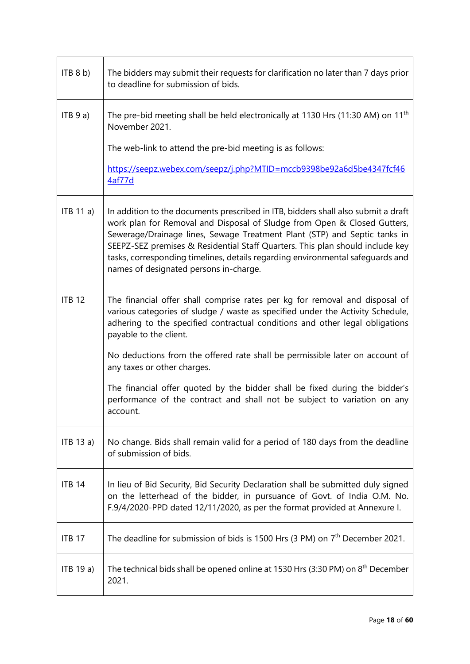| ITB 8 b)      | The bidders may submit their requests for clarification no later than 7 days prior<br>to deadline for submission of bids.                                                                                                                                                                                                                                                                                                                               |  |  |  |
|---------------|---------------------------------------------------------------------------------------------------------------------------------------------------------------------------------------------------------------------------------------------------------------------------------------------------------------------------------------------------------------------------------------------------------------------------------------------------------|--|--|--|
| ITB 9 a)      | The pre-bid meeting shall be held electronically at 1130 Hrs (11:30 AM) on 11 <sup>th</sup><br>November 2021.                                                                                                                                                                                                                                                                                                                                           |  |  |  |
|               | The web-link to attend the pre-bid meeting is as follows:                                                                                                                                                                                                                                                                                                                                                                                               |  |  |  |
|               | https://seepz.webex.com/seepz/j.php?MTID=mccb9398be92a6d5be4347fcf46<br>4af77d                                                                                                                                                                                                                                                                                                                                                                          |  |  |  |
| ITB 11 a)     | In addition to the documents prescribed in ITB, bidders shall also submit a draft<br>work plan for Removal and Disposal of Sludge from Open & Closed Gutters,<br>Sewerage/Drainage lines, Sewage Treatment Plant (STP) and Septic tanks in<br>SEEPZ-SEZ premises & Residential Staff Quarters. This plan should include key<br>tasks, corresponding timelines, details regarding environmental safeguards and<br>names of designated persons in-charge. |  |  |  |
| <b>ITB 12</b> | The financial offer shall comprise rates per kg for removal and disposal of<br>various categories of sludge / waste as specified under the Activity Schedule,<br>adhering to the specified contractual conditions and other legal obligations<br>payable to the client.                                                                                                                                                                                 |  |  |  |
|               | No deductions from the offered rate shall be permissible later on account of<br>any taxes or other charges.                                                                                                                                                                                                                                                                                                                                             |  |  |  |
|               | The financial offer quoted by the bidder shall be fixed during the bidder's<br>performance of the contract and shall not be subject to variation on any<br>account.                                                                                                                                                                                                                                                                                     |  |  |  |
| ITB 13 a)     | No change. Bids shall remain valid for a period of 180 days from the deadline<br>of submission of bids.                                                                                                                                                                                                                                                                                                                                                 |  |  |  |
| <b>ITB 14</b> | In lieu of Bid Security, Bid Security Declaration shall be submitted duly signed<br>on the letterhead of the bidder, in pursuance of Govt. of India O.M. No.<br>F.9/4/2020-PPD dated 12/11/2020, as per the format provided at Annexure I.                                                                                                                                                                                                              |  |  |  |
| <b>ITB 17</b> | The deadline for submission of bids is 1500 Hrs (3 PM) on $7th$ December 2021.                                                                                                                                                                                                                                                                                                                                                                          |  |  |  |
| ITB 19 a)     | The technical bids shall be opened online at 1530 Hrs (3:30 PM) on $8th$ December<br>2021.                                                                                                                                                                                                                                                                                                                                                              |  |  |  |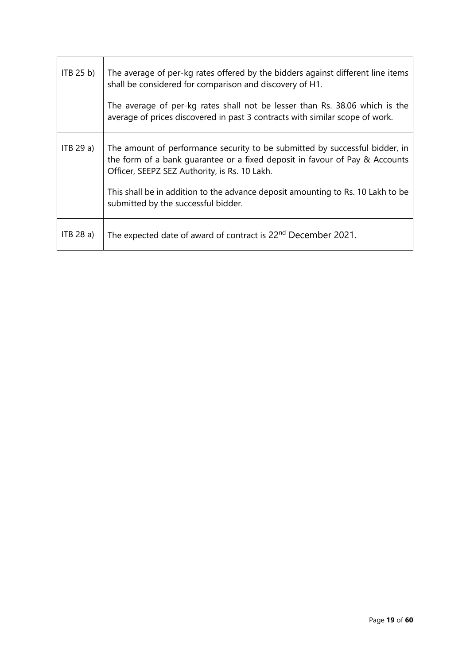| ITB 25 b) | The average of per-kg rates offered by the bidders against different line items<br>shall be considered for comparison and discovery of H1.                                                                  |
|-----------|-------------------------------------------------------------------------------------------------------------------------------------------------------------------------------------------------------------|
|           | The average of per-kg rates shall not be lesser than Rs. 38.06 which is the<br>average of prices discovered in past 3 contracts with similar scope of work.                                                 |
| ITB 29a)  | The amount of performance security to be submitted by successful bidder, in<br>the form of a bank quarantee or a fixed deposit in favour of Pay & Accounts<br>Officer, SEEPZ SEZ Authority, is Rs. 10 Lakh. |
|           | This shall be in addition to the advance deposit amounting to Rs. 10 Lakh to be<br>submitted by the successful bidder.                                                                                      |
| ITB 28 a) | The expected date of award of contract is 22 <sup>nd</sup> December 2021.                                                                                                                                   |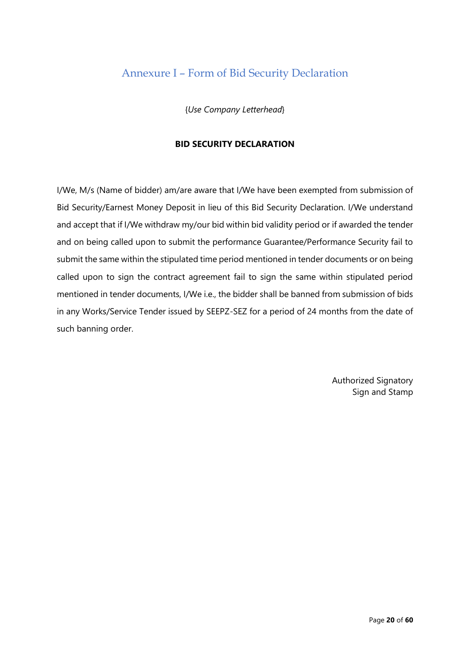# Annexure I – Form of Bid Security Declaration

{*Use Company Letterhead*}

#### **BID SECURITY DECLARATION**

I/We, M/s (Name of bidder) am/are aware that I/We have been exempted from submission of Bid Security/Earnest Money Deposit in lieu of this Bid Security Declaration. I/We understand and accept that if I/We withdraw my/our bid within bid validity period or if awarded the tender and on being called upon to submit the performance Guarantee/Performance Security fail to submit the same within the stipulated time period mentioned in tender documents or on being called upon to sign the contract agreement fail to sign the same within stipulated period mentioned in tender documents, I/We i.e., the bidder shall be banned from submission of bids in any Works/Service Tender issued by SEEPZ-SEZ for a period of 24 months from the date of such banning order.

> Authorized Signatory Sign and Stamp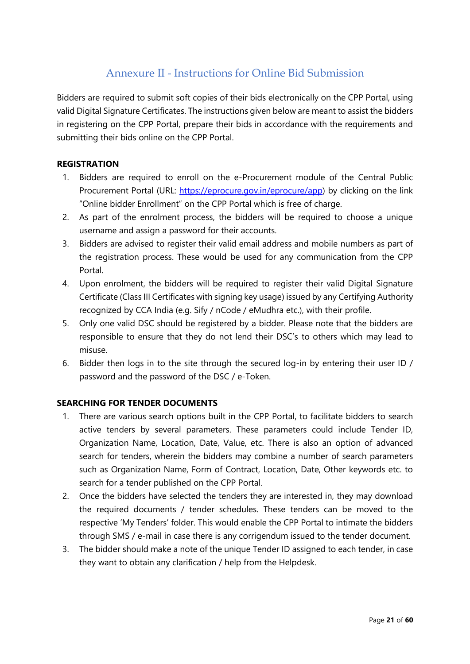# Annexure II - Instructions for Online Bid Submission

Bidders are required to submit soft copies of their bids electronically on the CPP Portal, using valid Digital Signature Certificates. The instructions given below are meant to assist the bidders in registering on the CPP Portal, prepare their bids in accordance with the requirements and submitting their bids online on the CPP Portal.

#### **REGISTRATION**

- 1. Bidders are required to enroll on the e-Procurement module of the Central Public Procurement Portal (URL: [https://eprocure.gov.in/eprocure/app\)](https://eprocure.gov.in/eprocure/app) by clicking on the link "Online bidder Enrollment" on the CPP Portal which is free of charge.
- 2. As part of the enrolment process, the bidders will be required to choose a unique username and assign a password for their accounts.
- 3. Bidders are advised to register their valid email address and mobile numbers as part of the registration process. These would be used for any communication from the CPP Portal.
- 4. Upon enrolment, the bidders will be required to register their valid Digital Signature Certificate (Class III Certificates with signing key usage) issued by any Certifying Authority recognized by CCA India (e.g. Sify / nCode / eMudhra etc.), with their profile.
- 5. Only one valid DSC should be registered by a bidder. Please note that the bidders are responsible to ensure that they do not lend their DSC's to others which may lead to misuse.
- 6. Bidder then logs in to the site through the secured log-in by entering their user ID / password and the password of the DSC / e-Token.

### **SEARCHING FOR TENDER DOCUMENTS**

- 1. There are various search options built in the CPP Portal, to facilitate bidders to search active tenders by several parameters. These parameters could include Tender ID, Organization Name, Location, Date, Value, etc. There is also an option of advanced search for tenders, wherein the bidders may combine a number of search parameters such as Organization Name, Form of Contract, Location, Date, Other keywords etc. to search for a tender published on the CPP Portal.
- 2. Once the bidders have selected the tenders they are interested in, they may download the required documents / tender schedules. These tenders can be moved to the respective 'My Tenders' folder. This would enable the CPP Portal to intimate the bidders through SMS / e-mail in case there is any corrigendum issued to the tender document.
- 3. The bidder should make a note of the unique Tender ID assigned to each tender, in case they want to obtain any clarification / help from the Helpdesk.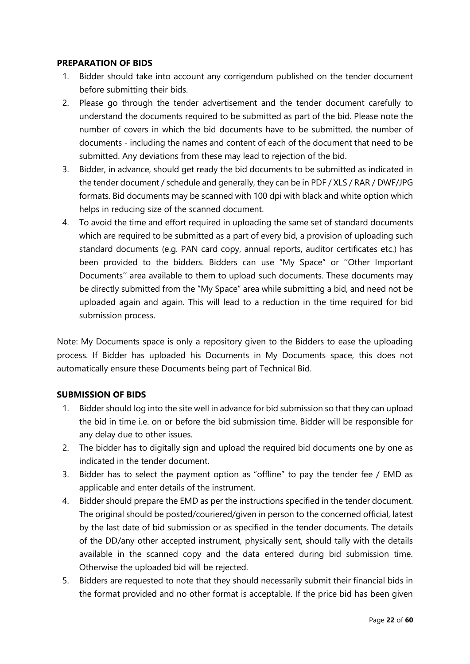#### **PREPARATION OF BIDS**

- 1. Bidder should take into account any corrigendum published on the tender document before submitting their bids.
- 2. Please go through the tender advertisement and the tender document carefully to understand the documents required to be submitted as part of the bid. Please note the number of covers in which the bid documents have to be submitted, the number of documents - including the names and content of each of the document that need to be submitted. Any deviations from these may lead to rejection of the bid.
- 3. Bidder, in advance, should get ready the bid documents to be submitted as indicated in the tender document / schedule and generally, they can be in PDF / XLS / RAR / DWF/JPG formats. Bid documents may be scanned with 100 dpi with black and white option which helps in reducing size of the scanned document.
- 4. To avoid the time and effort required in uploading the same set of standard documents which are required to be submitted as a part of every bid, a provision of uploading such standard documents (e.g. PAN card copy, annual reports, auditor certificates etc.) has been provided to the bidders. Bidders can use "My Space" or ''Other Important Documents'' area available to them to upload such documents. These documents may be directly submitted from the "My Space" area while submitting a bid, and need not be uploaded again and again. This will lead to a reduction in the time required for bid submission process.

Note: My Documents space is only a repository given to the Bidders to ease the uploading process. If Bidder has uploaded his Documents in My Documents space, this does not automatically ensure these Documents being part of Technical Bid.

#### **SUBMISSION OF BIDS**

- 1. Bidder should log into the site well in advance for bid submission so that they can upload the bid in time i.e. on or before the bid submission time. Bidder will be responsible for any delay due to other issues.
- 2. The bidder has to digitally sign and upload the required bid documents one by one as indicated in the tender document.
- 3. Bidder has to select the payment option as "offline" to pay the tender fee / EMD as applicable and enter details of the instrument.
- 4. Bidder should prepare the EMD as per the instructions specified in the tender document. The original should be posted/couriered/given in person to the concerned official, latest by the last date of bid submission or as specified in the tender documents. The details of the DD/any other accepted instrument, physically sent, should tally with the details available in the scanned copy and the data entered during bid submission time. Otherwise the uploaded bid will be rejected.
- 5. Bidders are requested to note that they should necessarily submit their financial bids in the format provided and no other format is acceptable. If the price bid has been given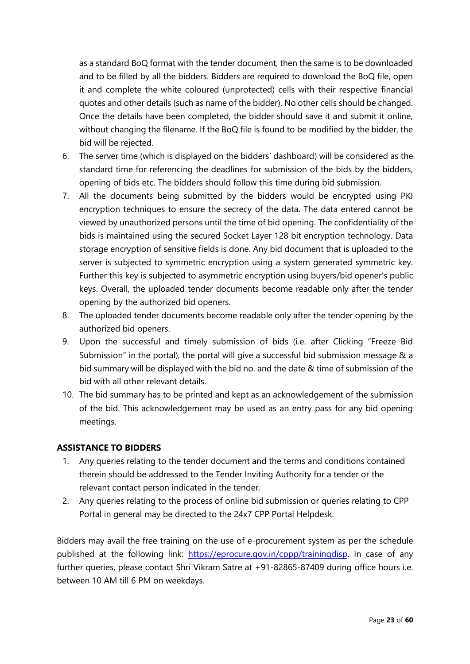as a standard BoQ format with the tender document, then the same is to be downloaded and to be filled by all the bidders. Bidders are required to download the BoQ file, open it and complete the white coloured (unprotected) cells with their respective financial quotes and other details (such as name of the bidder). No other cells should be changed. Once the details have been completed, the bidder should save it and submit it online, without changing the filename. If the BoQ file is found to be modified by the bidder, the bid will be rejected.

- 6. The server time (which is displayed on the bidders' dashboard) will be considered as the standard time for referencing the deadlines for submission of the bids by the bidders, opening of bids etc. The bidders should follow this time during bid submission.
- 7. All the documents being submitted by the bidders would be encrypted using PKI encryption techniques to ensure the secrecy of the data. The data entered cannot be viewed by unauthorized persons until the time of bid opening. The confidentiality of the bids is maintained using the secured Socket Layer 128 bit encryption technology. Data storage encryption of sensitive fields is done. Any bid document that is uploaded to the server is subjected to symmetric encryption using a system generated symmetric key. Further this key is subjected to asymmetric encryption using buyers/bid opener's public keys. Overall, the uploaded tender documents become readable only after the tender opening by the authorized bid openers.
- 8. The uploaded tender documents become readable only after the tender opening by the authorized bid openers.
- 9. Upon the successful and timely submission of bids (i.e. after Clicking "Freeze Bid Submission" in the portal), the portal will give a successful bid submission message & a bid summary will be displayed with the bid no. and the date & time of submission of the bid with all other relevant details.
- 10. The bid summary has to be printed and kept as an acknowledgement of the submission of the bid. This acknowledgement may be used as an entry pass for any bid opening meetings.

### **ASSISTANCE TO BIDDERS**

- 1. Any queries relating to the tender document and the terms and conditions contained therein should be addressed to the Tender Inviting Authority for a tender or the relevant contact person indicated in the tender.
- 2. Any queries relating to the process of online bid submission or queries relating to CPP Portal in general may be directed to the 24x7 CPP Portal Helpdesk.

Bidders may avail the free training on the use of e-procurement system as per the schedule published at the following link: [https://eprocure.gov.in/cppp/trainingdisp.](https://eprocure.gov.in/cppp/trainingdisp) In case of any further queries, please contact Shri Vikram Satre at +91-82865-87409 during office hours i.e. between 10 AM till 6 PM on weekdays.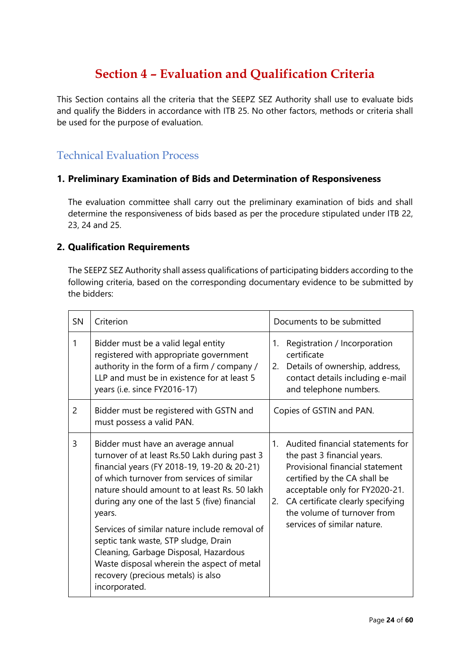# **Section 4 – Evaluation and Qualification Criteria**

This Section contains all the criteria that the SEEPZ SEZ Authority shall use to evaluate bids and qualify the Bidders in accordance with ITB 25. No other factors, methods or criteria shall be used for the purpose of evaluation.

# Technical Evaluation Process

### **1. Preliminary Examination of Bids and Determination of Responsiveness**

The evaluation committee shall carry out the preliminary examination of bids and shall determine the responsiveness of bids based as per the procedure stipulated under ITB 22, 23, 24 and 25.

#### **2. Qualification Requirements**

The SEEPZ SEZ Authority shall assess qualifications of participating bidders according to the following criteria, based on the corresponding documentary evidence to be submitted by the bidders:

| <b>SN</b>      | Criterion                                                                                                                                                                                                                                                                                                                                                                                                                                                                                                                          | Documents to be submitted                                                                                                                                                                                                                                                        |  |
|----------------|------------------------------------------------------------------------------------------------------------------------------------------------------------------------------------------------------------------------------------------------------------------------------------------------------------------------------------------------------------------------------------------------------------------------------------------------------------------------------------------------------------------------------------|----------------------------------------------------------------------------------------------------------------------------------------------------------------------------------------------------------------------------------------------------------------------------------|--|
| 1              | Bidder must be a valid legal entity<br>registered with appropriate government<br>authority in the form of a firm / company /<br>LLP and must be in existence for at least 5<br>years (i.e. since FY2016-17)                                                                                                                                                                                                                                                                                                                        | Registration / Incorporation<br>1.<br>certificate<br>2. Details of ownership, address,<br>contact details including e-mail<br>and telephone numbers.                                                                                                                             |  |
| $\overline{2}$ | Bidder must be registered with GSTN and<br>must possess a valid PAN.                                                                                                                                                                                                                                                                                                                                                                                                                                                               | Copies of GSTIN and PAN.                                                                                                                                                                                                                                                         |  |
| 3              | Bidder must have an average annual<br>turnover of at least Rs.50 Lakh during past 3<br>financial years (FY 2018-19, 19-20 & 20-21)<br>of which turnover from services of similar<br>nature should amount to at least Rs. 50 lakh<br>during any one of the last 5 (five) financial<br>years.<br>Services of similar nature include removal of<br>septic tank waste, STP sludge, Drain<br>Cleaning, Garbage Disposal, Hazardous<br>Waste disposal wherein the aspect of metal<br>recovery (precious metals) is also<br>incorporated. | 1. Audited financial statements for<br>the past 3 financial years.<br>Provisional financial statement<br>certified by the CA shall be<br>acceptable only for FY2020-21.<br>CA certificate clearly specifying<br>2.<br>the volume of turnover from<br>services of similar nature. |  |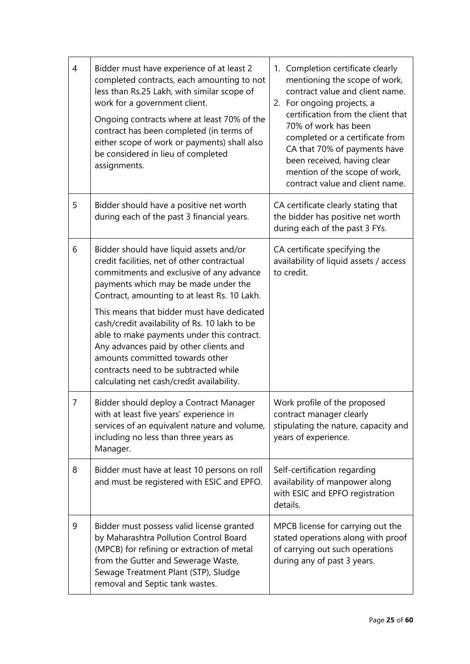| $\overline{4}$ | Bidder must have experience of at least 2<br>completed contracts, each amounting to not<br>less than Rs.25 Lakh, with similar scope of<br>work for a government client.<br>Ongoing contracts where at least 70% of the<br>contract has been completed (in terms of<br>either scope of work or payments) shall also<br>be considered in lieu of completed<br>assignments. | 1. Completion certificate clearly<br>mentioning the scope of work,<br>contract value and client name.<br>2. For ongoing projects, a<br>certification from the client that<br>70% of work has been<br>completed or a certificate from<br>CA that 70% of payments have<br>been received, having clear<br>mention of the scope of work,<br>contract value and client name. |
|----------------|--------------------------------------------------------------------------------------------------------------------------------------------------------------------------------------------------------------------------------------------------------------------------------------------------------------------------------------------------------------------------|-------------------------------------------------------------------------------------------------------------------------------------------------------------------------------------------------------------------------------------------------------------------------------------------------------------------------------------------------------------------------|
| 5              | Bidder should have a positive net worth<br>during each of the past 3 financial years.                                                                                                                                                                                                                                                                                    | CA certificate clearly stating that<br>the bidder has positive net worth<br>during each of the past 3 FYs.                                                                                                                                                                                                                                                              |
| 6              | Bidder should have liquid assets and/or<br>credit facilities, net of other contractual<br>commitments and exclusive of any advance<br>payments which may be made under the<br>Contract, amounting to at least Rs. 10 Lakh.                                                                                                                                               | CA certificate specifying the<br>availability of liquid assets / access<br>to credit.                                                                                                                                                                                                                                                                                   |
|                | This means that bidder must have dedicated<br>cash/credit availability of Rs. 10 lakh to be<br>able to make payments under this contract.<br>Any advances paid by other clients and<br>amounts committed towards other<br>contracts need to be subtracted while<br>calculating net cash/credit availability.                                                             |                                                                                                                                                                                                                                                                                                                                                                         |
| $\overline{7}$ | Bidder should deploy a Contract Manager<br>with at least five years' experience in<br>services of an equivalent nature and volume,<br>including no less than three years as<br>Manager.                                                                                                                                                                                  | Work profile of the proposed<br>contract manager clearly<br>stipulating the nature, capacity and<br>years of experience.                                                                                                                                                                                                                                                |
| 8              | Bidder must have at least 10 persons on roll<br>and must be registered with ESIC and EPFO.                                                                                                                                                                                                                                                                               | Self-certification regarding<br>availability of manpower along<br>with ESIC and EPFO registration<br>details.                                                                                                                                                                                                                                                           |
| 9              | Bidder must possess valid license granted<br>by Maharashtra Pollution Control Board<br>(MPCB) for refining or extraction of metal<br>from the Gutter and Sewerage Waste,<br>Sewage Treatment Plant (STP), Sludge<br>removal and Septic tank wastes.                                                                                                                      | MPCB license for carrying out the<br>stated operations along with proof<br>of carrying out such operations<br>during any of past 3 years.                                                                                                                                                                                                                               |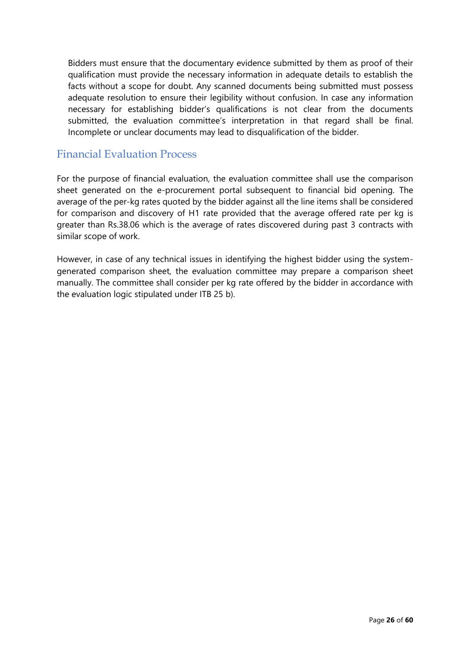Bidders must ensure that the documentary evidence submitted by them as proof of their qualification must provide the necessary information in adequate details to establish the facts without a scope for doubt. Any scanned documents being submitted must possess adequate resolution to ensure their legibility without confusion. In case any information necessary for establishing bidder's qualifications is not clear from the documents submitted, the evaluation committee's interpretation in that regard shall be final. Incomplete or unclear documents may lead to disqualification of the bidder.

## Financial Evaluation Process

For the purpose of financial evaluation, the evaluation committee shall use the comparison sheet generated on the e-procurement portal subsequent to financial bid opening. The average of the per-kg rates quoted by the bidder against all the line items shall be considered for comparison and discovery of H1 rate provided that the average offered rate per kg is greater than Rs.38.06 which is the average of rates discovered during past 3 contracts with similar scope of work.

However, in case of any technical issues in identifying the highest bidder using the systemgenerated comparison sheet, the evaluation committee may prepare a comparison sheet manually. The committee shall consider per kg rate offered by the bidder in accordance with the evaluation logic stipulated under ITB 25 b).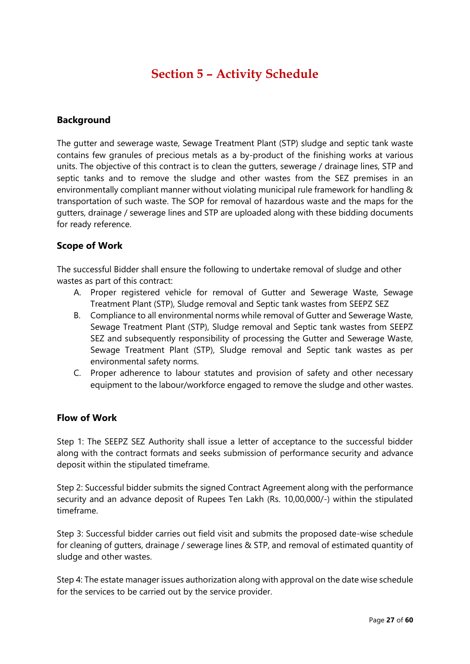# **Section 5 – Activity Schedule**

#### **Background**

The gutter and sewerage waste, Sewage Treatment Plant (STP) sludge and septic tank waste contains few granules of precious metals as a by-product of the finishing works at various units. The objective of this contract is to clean the gutters, sewerage / drainage lines, STP and septic tanks and to remove the sludge and other wastes from the SEZ premises in an environmentally compliant manner without violating municipal rule framework for handling & transportation of such waste. The SOP for removal of hazardous waste and the maps for the gutters, drainage / sewerage lines and STP are uploaded along with these bidding documents for ready reference.

#### **Scope of Work**

The successful Bidder shall ensure the following to undertake removal of sludge and other wastes as part of this contract:

- A. Proper registered vehicle for removal of Gutter and Sewerage Waste, Sewage Treatment Plant (STP), Sludge removal and Septic tank wastes from SEEPZ SEZ
- B. Compliance to all environmental norms while removal of Gutter and Sewerage Waste, Sewage Treatment Plant (STP), Sludge removal and Septic tank wastes from SEEPZ SEZ and subsequently responsibility of processing the Gutter and Sewerage Waste, Sewage Treatment Plant (STP), Sludge removal and Septic tank wastes as per environmental safety norms.
- C. Proper adherence to labour statutes and provision of safety and other necessary equipment to the labour/workforce engaged to remove the sludge and other wastes.

#### **Flow of Work**

Step 1: The SEEPZ SEZ Authority shall issue a letter of acceptance to the successful bidder along with the contract formats and seeks submission of performance security and advance deposit within the stipulated timeframe.

Step 2: Successful bidder submits the signed Contract Agreement along with the performance security and an advance deposit of Rupees Ten Lakh (Rs. 10,00,000/-) within the stipulated timeframe.

Step 3: Successful bidder carries out field visit and submits the proposed date-wise schedule for cleaning of gutters, drainage / sewerage lines & STP, and removal of estimated quantity of sludge and other wastes.

Step 4: The estate manager issues authorization along with approval on the date wise schedule for the services to be carried out by the service provider.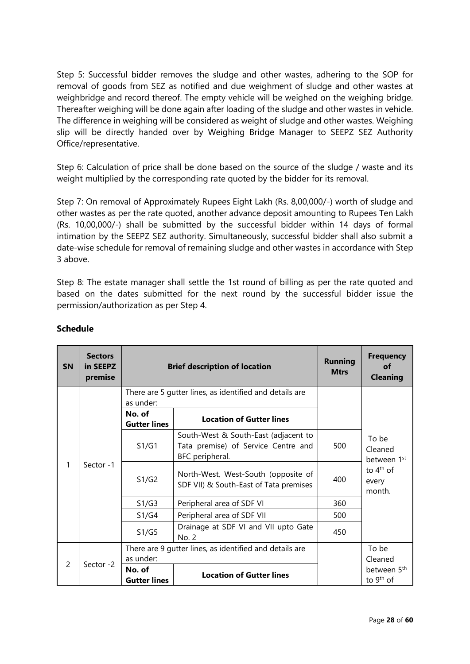Step 5: Successful bidder removes the sludge and other wastes, adhering to the SOP for removal of goods from SEZ as notified and due weighment of sludge and other wastes at weighbridge and record thereof. The empty vehicle will be weighed on the weighing bridge. Thereafter weighing will be done again after loading of the sludge and other wastes in vehicle. The difference in weighing will be considered as weight of sludge and other wastes. Weighing slip will be directly handed over by Weighing Bridge Manager to SEEPZ SEZ Authority Office/representative.

Step 6: Calculation of price shall be done based on the source of the sludge / waste and its weight multiplied by the corresponding rate quoted by the bidder for its removal.

Step 7: On removal of Approximately Rupees Eight Lakh (Rs. 8,00,000/-) worth of sludge and other wastes as per the rate quoted, another advance deposit amounting to Rupees Ten Lakh (Rs. 10,00,000/-) shall be submitted by the successful bidder within 14 days of formal intimation by the SEEPZ SEZ authority. Simultaneously, successful bidder shall also submit a date-wise schedule for removal of remaining sludge and other wastes in accordance with Step 3 above.

Step 8: The estate manager shall settle the 1st round of billing as per the rate quoted and based on the dates submitted for the next round by the successful bidder issue the permission/authorization as per Step 4.

| <b>SN</b>      | <b>Sectors</b><br>in SEEPZ<br>premise | <b>Brief description of location</b> |                                                                                                | <b>Running</b><br><b>Mtrs</b> | <b>Frequency</b><br>οf<br><b>Cleaning</b>        |
|----------------|---------------------------------------|--------------------------------------|------------------------------------------------------------------------------------------------|-------------------------------|--------------------------------------------------|
|                |                                       | as under:                            | There are 5 gutter lines, as identified and details are                                        |                               |                                                  |
|                |                                       | No. of<br><b>Gutter lines</b>        | <b>Location of Gutter lines</b>                                                                |                               |                                                  |
| 1              | Sector -1                             | S1/G1                                | South-West & South-East (adjacent to<br>Tata premise) of Service Centre and<br>BFC peripheral. | 500                           | To be<br>Cleaned<br>between 1 <sup>st</sup>      |
|                |                                       | S1/G2                                | North-West, West-South (opposite of<br>SDF VII) & South-East of Tata premises                  | 400                           | to $4th$ of<br>every<br>month.                   |
|                |                                       | S1/G3                                | Peripheral area of SDF VI                                                                      | 360                           |                                                  |
|                |                                       | S1/G4                                | Peripheral area of SDF VII                                                                     | 500                           |                                                  |
|                |                                       | S1/G5                                | Drainage at SDF VI and VII upto Gate<br>No. 2                                                  | 450                           |                                                  |
| $\overline{c}$ |                                       |                                      | There are 9 gutter lines, as identified and details are                                        |                               | To be                                            |
|                | Sector -2                             | as under:                            |                                                                                                |                               | Cleaned                                          |
|                |                                       | No. of<br><b>Gutter lines</b>        | <b>Location of Gutter lines</b>                                                                |                               | between 5 <sup>th</sup><br>to 9 <sup>th</sup> of |

#### **Schedule**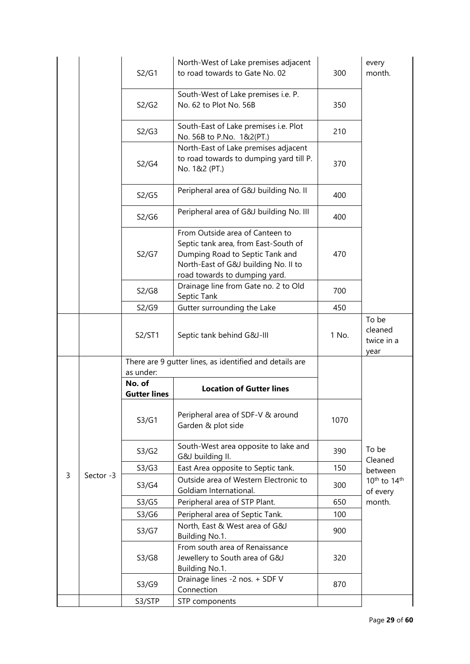|   |           | S2/G1                                      | North-West of Lake premises adjacent<br>to road towards to Gate No. 02                                                                                                              | 300   | every<br>month.                                 |
|---|-----------|--------------------------------------------|-------------------------------------------------------------------------------------------------------------------------------------------------------------------------------------|-------|-------------------------------------------------|
|   |           | S2/G2                                      | South-West of Lake premises i.e. P.<br>No. 62 to Plot No. 56B                                                                                                                       | 350   |                                                 |
|   |           | S2/G3                                      | South-East of Lake premises i.e. Plot<br>No. 56B to P.No. 1&2(PT.)                                                                                                                  | 210   |                                                 |
|   |           | S2/G4                                      | North-East of Lake premises adjacent<br>to road towards to dumping yard till P.<br>No. 1&2 (PT.)                                                                                    | 370   |                                                 |
|   |           | S2/G5                                      | Peripheral area of G&J building No. II                                                                                                                                              | 400   |                                                 |
|   |           | S2/G6                                      | Peripheral area of G&J building No. III                                                                                                                                             | 400   |                                                 |
|   |           | S2/G7                                      | From Outside area of Canteen to<br>Septic tank area, from East-South of<br>Dumping Road to Septic Tank and<br>North-East of G&J building No. II to<br>road towards to dumping yard. | 470   |                                                 |
|   |           | S2/G8                                      | Drainage line from Gate no. 2 to Old<br>Septic Tank                                                                                                                                 | 700   |                                                 |
|   |           | S2/G9                                      | Gutter surrounding the Lake                                                                                                                                                         | 450   |                                                 |
|   |           | S2/ST1                                     | Septic tank behind G&J-III                                                                                                                                                          | 1 No. | To be<br>cleaned<br>twice in a<br>year          |
|   |           |                                            | There are 9 gutter lines, as identified and details are                                                                                                                             |       |                                                 |
|   |           |                                            |                                                                                                                                                                                     |       |                                                 |
|   |           | as under:<br>No. of<br><b>Gutter lines</b> | <b>Location of Gutter lines</b>                                                                                                                                                     |       |                                                 |
|   |           | S3/G1                                      | Peripheral area of SDF-V & around<br>Garden & plot side                                                                                                                             | 1070  |                                                 |
|   |           | S3/G2                                      | South-West area opposite to lake and<br>G&J building II.                                                                                                                            | 390   | To be                                           |
|   |           | S3/G3                                      | East Area opposite to Septic tank.                                                                                                                                                  | 150   | Cleaned                                         |
| 3 | Sector -3 | S3/G4                                      | Outside area of Western Electronic to<br>Goldiam International.                                                                                                                     | 300   | between<br>10 <sup>th</sup> to 14 <sup>th</sup> |
|   |           | S3/G5                                      | Peripheral area of STP Plant.                                                                                                                                                       | 650   | of every<br>month.                              |
|   |           | S3/G6                                      | Peripheral area of Septic Tank.                                                                                                                                                     | 100   |                                                 |
|   |           | S3/G7                                      | North, East & West area of G&J<br>Building No.1.                                                                                                                                    | 900   |                                                 |
|   |           | S3/G8                                      | From south area of Renaissance<br>Jewellery to South area of G&J<br>Building No.1.                                                                                                  | 320   |                                                 |
|   |           | S3/G9                                      | Drainage lines -2 nos. + SDF V<br>Connection                                                                                                                                        | 870   |                                                 |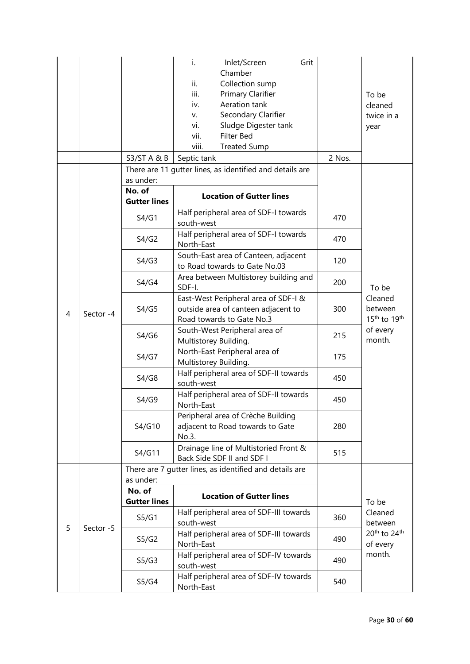|   |           | S3/STA&B                      | i.<br>Inlet/Screen<br>Grit<br>Chamber<br>ii.<br>Collection sump<br>iii.<br>Primary Clarifier<br>Aeration tank<br>iv.<br>Secondary Clarifier<br>V.<br>Sludge Digester tank<br>vi.<br>Filter Bed<br>vii.<br>viii.<br><b>Treated Sump</b><br>Septic tank | 2 Nos. | To be<br>cleaned<br>twice in a<br>year                     |
|---|-----------|-------------------------------|-------------------------------------------------------------------------------------------------------------------------------------------------------------------------------------------------------------------------------------------------------|--------|------------------------------------------------------------|
|   |           |                               | There are 11 gutter lines, as identified and details are                                                                                                                                                                                              |        |                                                            |
|   |           | as under:                     |                                                                                                                                                                                                                                                       |        |                                                            |
|   |           | No. of<br><b>Gutter lines</b> | <b>Location of Gutter lines</b>                                                                                                                                                                                                                       |        |                                                            |
|   |           | S4/G1                         | Half peripheral area of SDF-I towards<br>south-west                                                                                                                                                                                                   | 470    |                                                            |
|   |           | S4/G2                         | Half peripheral area of SDF-I towards<br>North-East                                                                                                                                                                                                   | 470    |                                                            |
|   |           | S4/G3                         | South-East area of Canteen, adjacent<br>to Road towards to Gate No.03                                                                                                                                                                                 | 120    |                                                            |
|   |           | S4/G4                         | Area between Multistorey building and<br>SDF-I.                                                                                                                                                                                                       | 200    | To be                                                      |
| 4 | Sector -4 | S4/G5                         | East-West Peripheral area of SDF-I &<br>outside area of canteen adjacent to<br>Road towards to Gate No.3                                                                                                                                              | 300    | Cleaned<br>between<br>15 <sup>th</sup> to 19 <sup>th</sup> |
|   |           | S4/G6                         | South-West Peripheral area of<br>Multistorey Building.                                                                                                                                                                                                | 215    | of every<br>month.                                         |
|   |           | S4/G7                         | North-East Peripheral area of<br>Multistorey Building.                                                                                                                                                                                                | 175    |                                                            |
|   |           | S4/G8                         | Half peripheral area of SDF-II towards<br>south-west                                                                                                                                                                                                  | 450    |                                                            |
|   |           | S4/G9                         | Half peripheral area of SDF-II towards<br>North-East                                                                                                                                                                                                  | 450    |                                                            |
|   |           | S4/G10                        | Peripheral area of Crèche Building<br>adjacent to Road towards to Gate<br>No.3.                                                                                                                                                                       | 280    |                                                            |
|   |           | S4/G11                        | Drainage line of Multistoried Front &<br>Back Side SDF II and SDF I                                                                                                                                                                                   | 515    |                                                            |
|   |           | as under:                     | There are 7 gutter lines, as identified and details are                                                                                                                                                                                               |        |                                                            |
|   |           | No. of<br><b>Gutter lines</b> | <b>Location of Gutter lines</b>                                                                                                                                                                                                                       |        | To be                                                      |
| 5 | Sector -5 | S5/G1                         | Half peripheral area of SDF-III towards<br>south-west                                                                                                                                                                                                 | 360    | Cleaned<br>between                                         |
|   |           | S5/G2                         | Half peripheral area of SDF-III towards<br>North-East                                                                                                                                                                                                 | 490    | 20 <sup>th</sup> to 24 <sup>th</sup><br>of every           |
|   |           | S5/G3                         | Half peripheral area of SDF-IV towards<br>south-west                                                                                                                                                                                                  | 490    | month.                                                     |
|   |           | S5/G4                         | Half peripheral area of SDF-IV towards<br>North-East                                                                                                                                                                                                  | 540    |                                                            |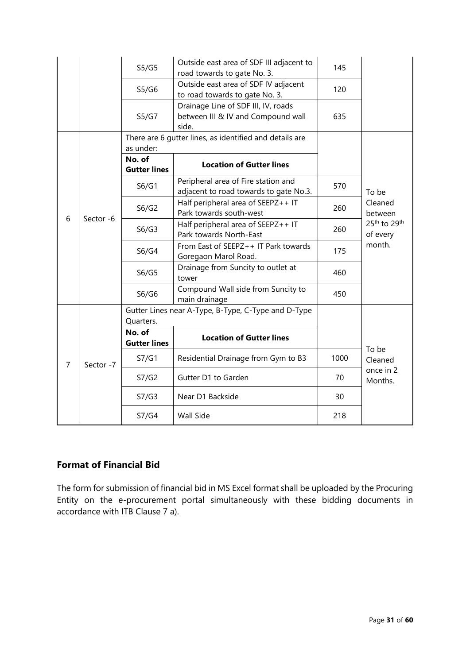|                |           | S5/G5                                      | Outside east area of SDF III adjacent to<br>road towards to gate No. 3.            | 145  |                                                  |
|----------------|-----------|--------------------------------------------|------------------------------------------------------------------------------------|------|--------------------------------------------------|
|                |           | S5/G6                                      | Outside east area of SDF IV adjacent<br>to road towards to gate No. 3.             | 120  |                                                  |
|                |           | S5/G7                                      | Drainage Line of SDF III, IV, roads<br>between III & IV and Compound wall<br>side. | 635  |                                                  |
|                |           |                                            | There are 6 gutter lines, as identified and details are                            |      |                                                  |
|                |           | as under:<br>No. of<br><b>Gutter lines</b> | <b>Location of Gutter lines</b>                                                    |      |                                                  |
|                |           | S6/G1                                      | Peripheral area of Fire station and<br>adjacent to road towards to gate No.3.      | 570  | To be                                            |
|                | Sector -6 | S6/G2                                      | Half peripheral area of SEEPZ++ IT<br>Park towards south-west                      | 260  | Cleaned<br>between                               |
| 6              |           | S6/G3                                      | Half peripheral area of SEEPZ++ IT<br>Park towards North-East                      | 260  | 25 <sup>th</sup> to 29 <sup>th</sup><br>of every |
|                |           | S6/G4                                      | From East of SEEPZ++ IT Park towards<br>Goregaon Marol Road.                       | 175  | month.                                           |
|                |           | S6/G5                                      | Drainage from Suncity to outlet at<br>tower                                        | 460  |                                                  |
|                |           | S6/G6                                      | Compound Wall side from Suncity to<br>main drainage                                | 450  |                                                  |
|                |           | Quarters.                                  | Gutter Lines near A-Type, B-Type, C-Type and D-Type                                |      |                                                  |
| $\overline{7}$ |           | No. of<br><b>Gutter lines</b>              | <b>Location of Gutter lines</b>                                                    |      | To be                                            |
|                | Sector -7 | S7/G1                                      | Residential Drainage from Gym to B3                                                | 1000 | Cleaned                                          |
|                |           | S7/G2                                      | Gutter D1 to Garden                                                                | 70   | once in 2<br>Months.                             |
|                |           | S7/G3                                      | Near D1 Backside                                                                   | 30   |                                                  |
|                |           | S7/G4                                      | Wall Side                                                                          | 218  |                                                  |

## **Format of Financial Bid**

The form for submission of financial bid in MS Excel format shall be uploaded by the Procuring Entity on the e-procurement portal simultaneously with these bidding documents in accordance with ITB Clause 7 a).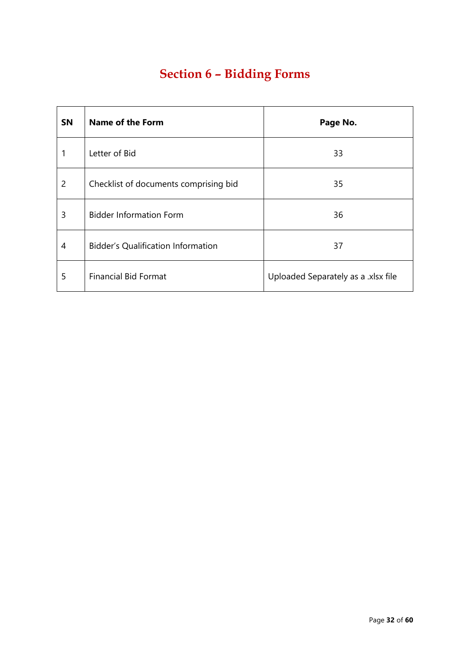# **Section 6 – Bidding Forms**

| <b>SN</b>      | <b>Name of the Form</b>                   | Page No.                            |
|----------------|-------------------------------------------|-------------------------------------|
|                | Letter of Bid                             | 33                                  |
| $\overline{2}$ | Checklist of documents comprising bid     | 35                                  |
| 3              | <b>Bidder Information Form</b>            | 36                                  |
| 4              | <b>Bidder's Qualification Information</b> | 37                                  |
| 5              | <b>Financial Bid Format</b>               | Uploaded Separately as a .xlsx file |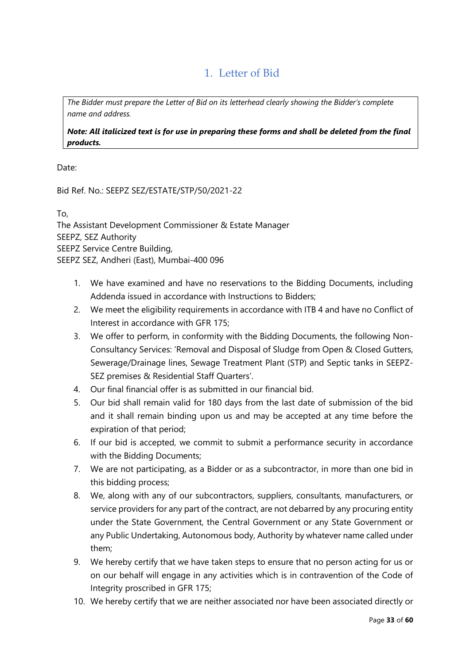# 1. Letter of Bid

*The Bidder must prepare the Letter of Bid on its letterhead clearly showing the Bidder's complete name and address.*

*Note: All italicized text is for use in preparing these forms and shall be deleted from the final products.*

Date:

Bid Ref. No.: SEEPZ SEZ/ESTATE/STP/50/2021-22

To,

The Assistant Development Commissioner & Estate Manager SEEPZ, SEZ Authority SEEPZ Service Centre Building, SEEPZ SEZ, Andheri (East), Mumbai-400 096

- 1. We have examined and have no reservations to the Bidding Documents, including Addenda issued in accordance with Instructions to Bidders;
- 2. We meet the eligibility requirements in accordance with ITB 4 and have no Conflict of Interest in accordance with GFR 175;
- 3. We offer to perform, in conformity with the Bidding Documents, the following Non-Consultancy Services: 'Removal and Disposal of Sludge from Open & Closed Gutters, Sewerage/Drainage lines, Sewage Treatment Plant (STP) and Septic tanks in SEEPZ-SEZ premises & Residential Staff Quarters'.
- 4. Our final financial offer is as submitted in our financial bid.
- 5. Our bid shall remain valid for 180 days from the last date of submission of the bid and it shall remain binding upon us and may be accepted at any time before the expiration of that period;
- 6. If our bid is accepted, we commit to submit a performance security in accordance with the Bidding Documents;
- 7. We are not participating, as a Bidder or as a subcontractor, in more than one bid in this bidding process;
- 8. We, along with any of our subcontractors, suppliers, consultants, manufacturers, or service providers for any part of the contract, are not debarred by any procuring entity under the State Government, the Central Government or any State Government or any Public Undertaking, Autonomous body, Authority by whatever name called under them;
- 9. We hereby certify that we have taken steps to ensure that no person acting for us or on our behalf will engage in any activities which is in contravention of the Code of Integrity proscribed in GFR 175;
- 10. We hereby certify that we are neither associated nor have been associated directly or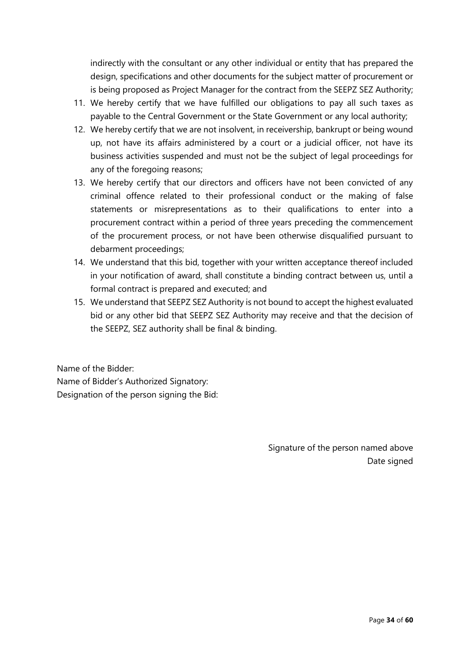indirectly with the consultant or any other individual or entity that has prepared the design, specifications and other documents for the subject matter of procurement or is being proposed as Project Manager for the contract from the SEEPZ SEZ Authority;

- 11. We hereby certify that we have fulfilled our obligations to pay all such taxes as payable to the Central Government or the State Government or any local authority;
- 12. We hereby certify that we are not insolvent, in receivership, bankrupt or being wound up, not have its affairs administered by a court or a judicial officer, not have its business activities suspended and must not be the subject of legal proceedings for any of the foregoing reasons;
- 13. We hereby certify that our directors and officers have not been convicted of any criminal offence related to their professional conduct or the making of false statements or misrepresentations as to their qualifications to enter into a procurement contract within a period of three years preceding the commencement of the procurement process, or not have been otherwise disqualified pursuant to debarment proceedings;
- 14. We understand that this bid, together with your written acceptance thereof included in your notification of award, shall constitute a binding contract between us, until a formal contract is prepared and executed; and
- 15. We understand that SEEPZ SEZ Authority is not bound to accept the highest evaluated bid or any other bid that SEEPZ SEZ Authority may receive and that the decision of the SEEPZ, SEZ authority shall be final & binding.

Name of the Bidder: Name of Bidder's Authorized Signatory: Designation of the person signing the Bid:

> Signature of the person named above Date signed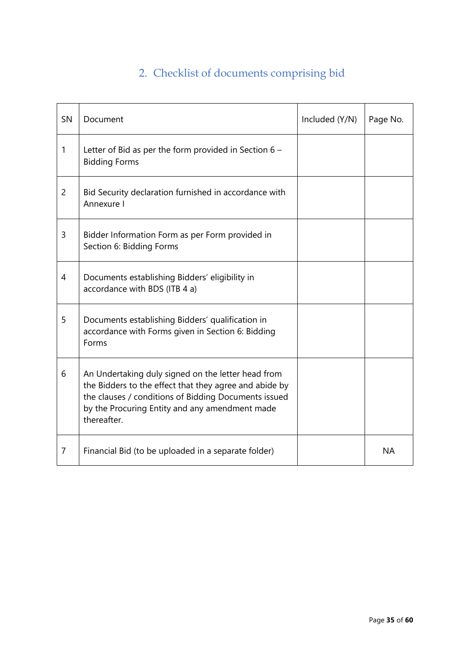# 2. Checklist of documents comprising bid

| SN             | Document                                                                                                                                                                                                                              | Included (Y/N) | Page No.  |
|----------------|---------------------------------------------------------------------------------------------------------------------------------------------------------------------------------------------------------------------------------------|----------------|-----------|
| 1              | Letter of Bid as per the form provided in Section $6 -$<br><b>Bidding Forms</b>                                                                                                                                                       |                |           |
| $\overline{2}$ | Bid Security declaration furnished in accordance with<br>Annexure I                                                                                                                                                                   |                |           |
| 3              | Bidder Information Form as per Form provided in<br>Section 6: Bidding Forms                                                                                                                                                           |                |           |
| 4              | Documents establishing Bidders' eligibility in<br>accordance with BDS (ITB 4 a)                                                                                                                                                       |                |           |
| 5              | Documents establishing Bidders' qualification in<br>accordance with Forms given in Section 6: Bidding<br>Forms                                                                                                                        |                |           |
| 6              | An Undertaking duly signed on the letter head from<br>the Bidders to the effect that they agree and abide by<br>the clauses / conditions of Bidding Documents issued<br>by the Procuring Entity and any amendment made<br>thereafter. |                |           |
| $\overline{7}$ | Financial Bid (to be uploaded in a separate folder)                                                                                                                                                                                   |                | <b>NA</b> |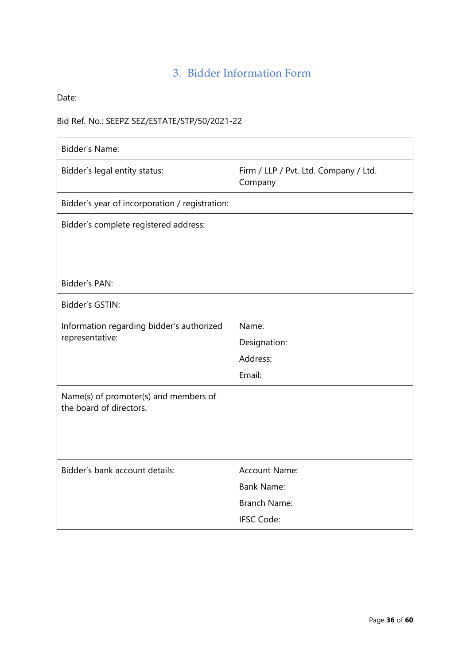# 3. Bidder Information Form

Date:

# Bid Ref. No.: SEEPZ SEZ/ESTATE/STP/50/2021-22

| Bidder's Name:                                                   |                                                                                       |
|------------------------------------------------------------------|---------------------------------------------------------------------------------------|
| Bidder's legal entity status:                                    | Firm / LLP / Pvt. Ltd. Company / Ltd.<br>Company                                      |
| Bidder's year of incorporation / registration:                   |                                                                                       |
| Bidder's complete registered address:                            |                                                                                       |
| Bidder's PAN:                                                    |                                                                                       |
| Bidder's GSTIN:                                                  |                                                                                       |
| Information regarding bidder's authorized<br>representative:     | Name:<br>Designation:<br>Address:<br>Email:                                           |
| Name(s) of promoter(s) and members of<br>the board of directors. |                                                                                       |
| Bidder's bank account details:                                   | <b>Account Name:</b><br><b>Bank Name:</b><br><b>Branch Name:</b><br><b>IFSC Code:</b> |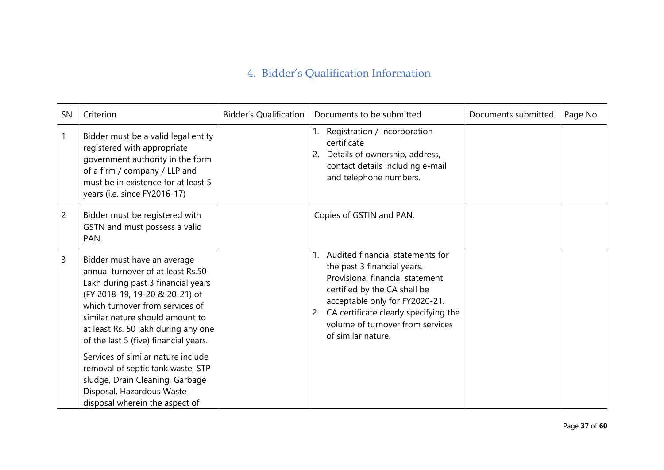# 4. Bidder's Qualification Information

| SN             | Criterion                                                                                                                                                                                                                                                                                      | <b>Bidder's Qualification</b> | Documents to be submitted                                                                                                                                                                                                                                                     | Documents submitted | Page No. |
|----------------|------------------------------------------------------------------------------------------------------------------------------------------------------------------------------------------------------------------------------------------------------------------------------------------------|-------------------------------|-------------------------------------------------------------------------------------------------------------------------------------------------------------------------------------------------------------------------------------------------------------------------------|---------------------|----------|
| 1              | Bidder must be a valid legal entity<br>registered with appropriate<br>government authority in the form<br>of a firm / company / LLP and<br>must be in existence for at least 5<br>years (i.e. since FY2016-17)                                                                                 |                               | Registration / Incorporation<br>certificate<br>Details of ownership, address,<br>2.<br>contact details including e-mail<br>and telephone numbers.                                                                                                                             |                     |          |
| $\overline{c}$ | Bidder must be registered with<br>GSTN and must possess a valid<br>PAN.                                                                                                                                                                                                                        |                               | Copies of GSTIN and PAN.                                                                                                                                                                                                                                                      |                     |          |
| 3              | Bidder must have an average<br>annual turnover of at least Rs.50<br>Lakh during past 3 financial years<br>(FY 2018-19, 19-20 & 20-21) of<br>which turnover from services of<br>similar nature should amount to<br>at least Rs. 50 lakh during any one<br>of the last 5 (five) financial years. |                               | Audited financial statements for<br>the past 3 financial years.<br>Provisional financial statement<br>certified by the CA shall be<br>acceptable only for FY2020-21.<br>CA certificate clearly specifying the<br>2.<br>volume of turnover from services<br>of similar nature. |                     |          |
|                | Services of similar nature include<br>removal of septic tank waste, STP<br>sludge, Drain Cleaning, Garbage<br>Disposal, Hazardous Waste<br>disposal wherein the aspect of                                                                                                                      |                               |                                                                                                                                                                                                                                                                               |                     |          |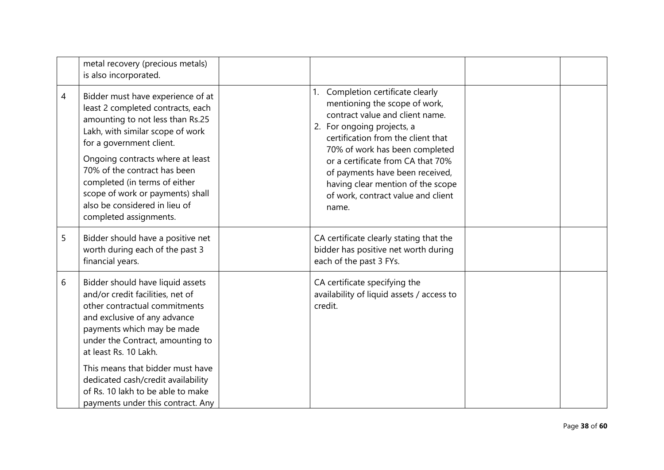|   | metal recovery (precious metals)<br>is also incorporated.                                                                                                                                                                                                                                                                                                                            |                                                                                                                                                                                                                                                                                                                                                                            |  |
|---|--------------------------------------------------------------------------------------------------------------------------------------------------------------------------------------------------------------------------------------------------------------------------------------------------------------------------------------------------------------------------------------|----------------------------------------------------------------------------------------------------------------------------------------------------------------------------------------------------------------------------------------------------------------------------------------------------------------------------------------------------------------------------|--|
| 4 | Bidder must have experience of at<br>least 2 completed contracts, each<br>amounting to not less than Rs.25<br>Lakh, with similar scope of work<br>for a government client.<br>Ongoing contracts where at least<br>70% of the contract has been<br>completed (in terms of either<br>scope of work or payments) shall<br>also be considered in lieu of<br>completed assignments.       | Completion certificate clearly<br>1.<br>mentioning the scope of work,<br>contract value and client name.<br>2. For ongoing projects, a<br>certification from the client that<br>70% of work has been completed<br>or a certificate from CA that 70%<br>of payments have been received,<br>having clear mention of the scope<br>of work, contract value and client<br>name. |  |
| 5 | Bidder should have a positive net<br>worth during each of the past 3<br>financial years.                                                                                                                                                                                                                                                                                             | CA certificate clearly stating that the<br>bidder has positive net worth during<br>each of the past 3 FYs.                                                                                                                                                                                                                                                                 |  |
| 6 | Bidder should have liquid assets<br>and/or credit facilities, net of<br>other contractual commitments<br>and exclusive of any advance<br>payments which may be made<br>under the Contract, amounting to<br>at least Rs. 10 Lakh.<br>This means that bidder must have<br>dedicated cash/credit availability<br>of Rs. 10 lakh to be able to make<br>payments under this contract. Any | CA certificate specifying the<br>availability of liquid assets / access to<br>credit.                                                                                                                                                                                                                                                                                      |  |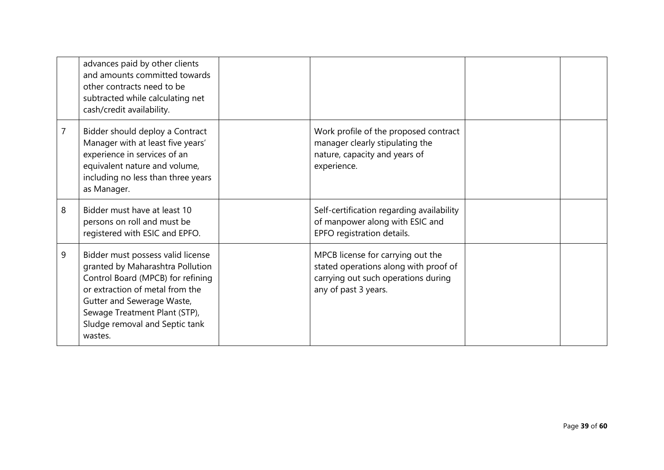|   | advances paid by other clients<br>and amounts committed towards<br>other contracts need to be<br>subtracted while calculating net<br>cash/credit availability.                                                                                            |                                                                                                                                           |  |
|---|-----------------------------------------------------------------------------------------------------------------------------------------------------------------------------------------------------------------------------------------------------------|-------------------------------------------------------------------------------------------------------------------------------------------|--|
| 7 | Bidder should deploy a Contract<br>Manager with at least five years'<br>experience in services of an<br>equivalent nature and volume,<br>including no less than three years<br>as Manager.                                                                | Work profile of the proposed contract<br>manager clearly stipulating the<br>nature, capacity and years of<br>experience.                  |  |
| 8 | Bidder must have at least 10<br>persons on roll and must be<br>registered with ESIC and EPFO.                                                                                                                                                             | Self-certification regarding availability<br>of manpower along with ESIC and<br>EPFO registration details.                                |  |
| 9 | Bidder must possess valid license<br>granted by Maharashtra Pollution<br>Control Board (MPCB) for refining<br>or extraction of metal from the<br>Gutter and Sewerage Waste,<br>Sewage Treatment Plant (STP),<br>Sludge removal and Septic tank<br>wastes. | MPCB license for carrying out the<br>stated operations along with proof of<br>carrying out such operations during<br>any of past 3 years. |  |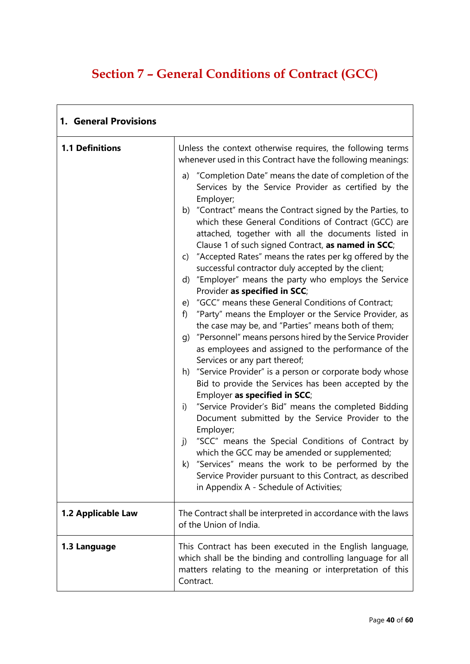# **Section 7 – General Conditions of Contract (GCC)**

| 1. General Provisions  |                                                                                                                                                                                                                                                                                                                                                                                                                                                                                                                                                                                                                                                                                                                                                                                                                                                                                                                                                                                                                                                                                                                                                                                                                                                                                                                                                                                                                                                                                                                                                                                                                |  |
|------------------------|----------------------------------------------------------------------------------------------------------------------------------------------------------------------------------------------------------------------------------------------------------------------------------------------------------------------------------------------------------------------------------------------------------------------------------------------------------------------------------------------------------------------------------------------------------------------------------------------------------------------------------------------------------------------------------------------------------------------------------------------------------------------------------------------------------------------------------------------------------------------------------------------------------------------------------------------------------------------------------------------------------------------------------------------------------------------------------------------------------------------------------------------------------------------------------------------------------------------------------------------------------------------------------------------------------------------------------------------------------------------------------------------------------------------------------------------------------------------------------------------------------------------------------------------------------------------------------------------------------------|--|
| <b>1.1 Definitions</b> | Unless the context otherwise requires, the following terms<br>whenever used in this Contract have the following meanings:<br>a) "Completion Date" means the date of completion of the<br>Services by the Service Provider as certified by the<br>Employer;<br>b) "Contract" means the Contract signed by the Parties, to<br>which these General Conditions of Contract (GCC) are<br>attached, together with all the documents listed in<br>Clause 1 of such signed Contract, as named in SCC;<br>c) "Accepted Rates" means the rates per kg offered by the<br>successful contractor duly accepted by the client;<br>d) "Employer" means the party who employs the Service<br>Provider as specified in SCC;<br>e) "GCC" means these General Conditions of Contract;<br>"Party" means the Employer or the Service Provider, as<br>f)<br>the case may be, and "Parties" means both of them;<br>g) "Personnel" means persons hired by the Service Provider<br>as employees and assigned to the performance of the<br>Services or any part thereof;<br>h) "Service Provider" is a person or corporate body whose<br>Bid to provide the Services has been accepted by the<br>Employer as specified in SCC;<br>"Service Provider's Bid" means the completed Bidding<br>i)<br>Document submitted by the Service Provider to the<br>Employer;<br>"SCC" means the Special Conditions of Contract by<br>j)<br>which the GCC may be amended or supplemented;<br>k) "Services" means the work to be performed by the<br>Service Provider pursuant to this Contract, as described<br>in Appendix A - Schedule of Activities; |  |
| 1.2 Applicable Law     | The Contract shall be interpreted in accordance with the laws<br>of the Union of India.                                                                                                                                                                                                                                                                                                                                                                                                                                                                                                                                                                                                                                                                                                                                                                                                                                                                                                                                                                                                                                                                                                                                                                                                                                                                                                                                                                                                                                                                                                                        |  |
| 1.3 Language           | This Contract has been executed in the English language,<br>which shall be the binding and controlling language for all<br>matters relating to the meaning or interpretation of this<br>Contract.                                                                                                                                                                                                                                                                                                                                                                                                                                                                                                                                                                                                                                                                                                                                                                                                                                                                                                                                                                                                                                                                                                                                                                                                                                                                                                                                                                                                              |  |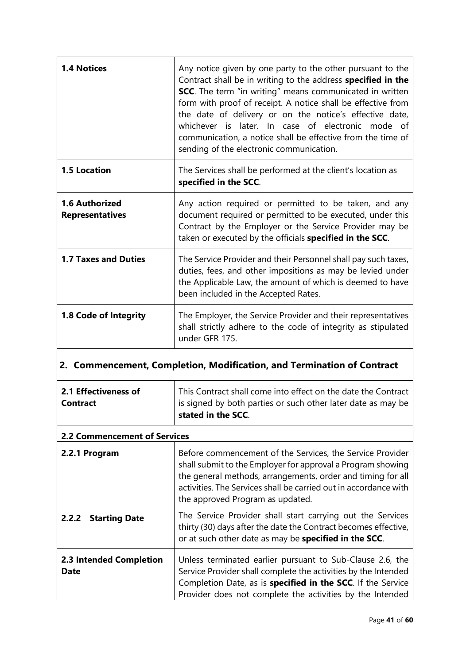| <b>1.4 Notices</b>                              | Any notice given by one party to the other pursuant to the<br>Contract shall be in writing to the address specified in the<br><b>SCC</b> . The term "in writing" means communicated in written<br>form with proof of receipt. A notice shall be effective from<br>the date of delivery or on the notice's effective date,<br>whichever is later. In case of electronic mode of<br>communication, a notice shall be effective from the time of<br>sending of the electronic communication. |
|-------------------------------------------------|-------------------------------------------------------------------------------------------------------------------------------------------------------------------------------------------------------------------------------------------------------------------------------------------------------------------------------------------------------------------------------------------------------------------------------------------------------------------------------------------|
| <b>1.5 Location</b>                             | The Services shall be performed at the client's location as<br>specified in the SCC.                                                                                                                                                                                                                                                                                                                                                                                                      |
| <b>1.6 Authorized</b><br><b>Representatives</b> | Any action required or permitted to be taken, and any<br>document required or permitted to be executed, under this<br>Contract by the Employer or the Service Provider may be<br>taken or executed by the officials specified in the SCC.                                                                                                                                                                                                                                                 |
| <b>1.7 Taxes and Duties</b>                     | The Service Provider and their Personnel shall pay such taxes,<br>duties, fees, and other impositions as may be levied under<br>the Applicable Law, the amount of which is deemed to have<br>been included in the Accepted Rates.                                                                                                                                                                                                                                                         |
| 1.8 Code of Integrity                           | The Employer, the Service Provider and their representatives<br>shall strictly adhere to the code of integrity as stipulated<br>under GFR 175.                                                                                                                                                                                                                                                                                                                                            |

# **2. Commencement, Completion, Modification, and Termination of Contract**

| 2.1 Effectiveness of<br>Contract       | This Contract shall come into effect on the date the Contract<br>is signed by both parties or such other later date as may be<br>stated in the SCC.                                                                                                                                             |
|----------------------------------------|-------------------------------------------------------------------------------------------------------------------------------------------------------------------------------------------------------------------------------------------------------------------------------------------------|
| <b>2.2 Commencement of Services</b>    |                                                                                                                                                                                                                                                                                                 |
| 2.2.1 Program                          | Before commencement of the Services, the Service Provider<br>shall submit to the Employer for approval a Program showing<br>the general methods, arrangements, order and timing for all<br>activities. The Services shall be carried out in accordance with<br>the approved Program as updated. |
| <b>Starting Date</b><br>2.2.2          | The Service Provider shall start carrying out the Services<br>thirty (30) days after the date the Contract becomes effective,<br>or at such other date as may be specified in the SCC.                                                                                                          |
| 2.3 Intended Completion<br><b>Date</b> | Unless terminated earlier pursuant to Sub-Clause 2.6, the<br>Service Provider shall complete the activities by the Intended<br>Completion Date, as is specified in the SCC. If the Service<br>Provider does not complete the activities by the Intended                                         |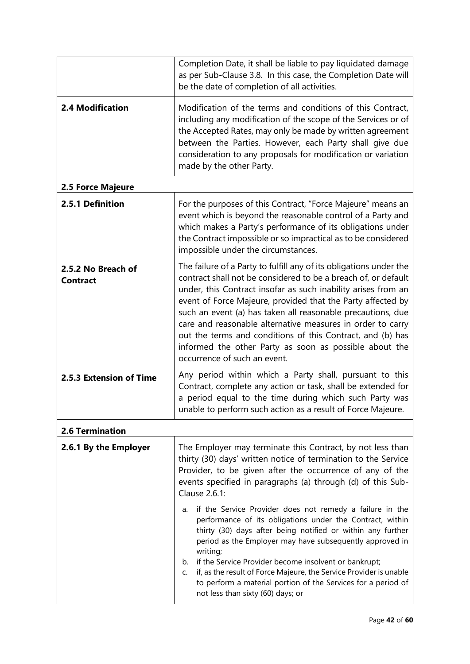|                                       | Completion Date, it shall be liable to pay liquidated damage<br>as per Sub-Clause 3.8. In this case, the Completion Date will<br>be the date of completion of all activities.                                                                                                                                                                                                                                                                                                                                                                             |
|---------------------------------------|-----------------------------------------------------------------------------------------------------------------------------------------------------------------------------------------------------------------------------------------------------------------------------------------------------------------------------------------------------------------------------------------------------------------------------------------------------------------------------------------------------------------------------------------------------------|
| <b>2.4 Modification</b>               | Modification of the terms and conditions of this Contract,<br>including any modification of the scope of the Services or of<br>the Accepted Rates, may only be made by written agreement<br>between the Parties. However, each Party shall give due<br>consideration to any proposals for modification or variation<br>made by the other Party.                                                                                                                                                                                                           |
| 2.5 Force Majeure                     |                                                                                                                                                                                                                                                                                                                                                                                                                                                                                                                                                           |
| 2.5.1 Definition                      | For the purposes of this Contract, "Force Majeure" means an<br>event which is beyond the reasonable control of a Party and<br>which makes a Party's performance of its obligations under<br>the Contract impossible or so impractical as to be considered<br>impossible under the circumstances.                                                                                                                                                                                                                                                          |
| 2.5.2 No Breach of<br><b>Contract</b> | The failure of a Party to fulfill any of its obligations under the<br>contract shall not be considered to be a breach of, or default<br>under, this Contract insofar as such inability arises from an<br>event of Force Majeure, provided that the Party affected by<br>such an event (a) has taken all reasonable precautions, due<br>care and reasonable alternative measures in order to carry<br>out the terms and conditions of this Contract, and (b) has<br>informed the other Party as soon as possible about the<br>occurrence of such an event. |
| 2.5.3 Extension of Time               | Any period within which a Party shall, pursuant to this<br>Contract, complete any action or task, shall be extended for<br>a period equal to the time during which such Party was<br>unable to perform such action as a result of Force Majeure.                                                                                                                                                                                                                                                                                                          |
| <b>2.6 Termination</b>                |                                                                                                                                                                                                                                                                                                                                                                                                                                                                                                                                                           |
| 2.6.1 By the Employer                 | The Employer may terminate this Contract, by not less than<br>thirty (30) days' written notice of termination to the Service<br>Provider, to be given after the occurrence of any of the<br>events specified in paragraphs (a) through (d) of this Sub-<br>Clause 2.6.1:                                                                                                                                                                                                                                                                                  |
|                                       | if the Service Provider does not remedy a failure in the<br>a.<br>performance of its obligations under the Contract, within<br>thirty (30) days after being notified or within any further<br>period as the Employer may have subsequently approved in<br>writing;<br>b. if the Service Provider become insolvent or bankrupt;<br>if, as the result of Force Majeure, the Service Provider is unable<br>C.<br>to perform a material portion of the Services for a period of<br>not less than sixty (60) days; or                                          |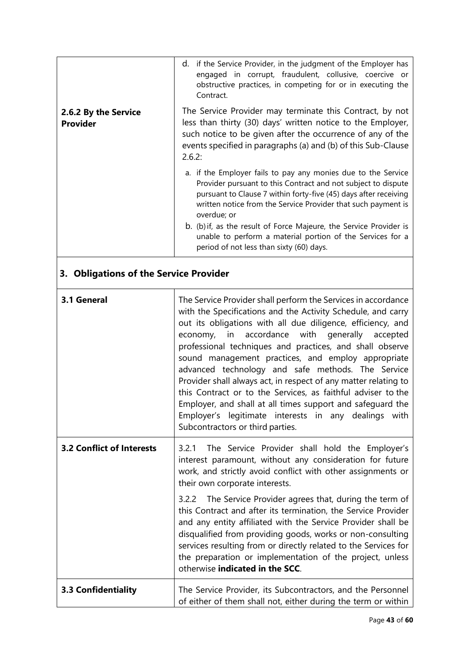| 2.6.2 By the Service                   | d. if the Service Provider, in the judgment of the Employer has<br>engaged in corrupt, fraudulent, collusive, coercive or<br>obstructive practices, in competing for or in executing the<br>Contract.<br>The Service Provider may terminate this Contract, by not                                                                                                                                                                                                                                                                                                                                                                                                                                                                 |
|----------------------------------------|-----------------------------------------------------------------------------------------------------------------------------------------------------------------------------------------------------------------------------------------------------------------------------------------------------------------------------------------------------------------------------------------------------------------------------------------------------------------------------------------------------------------------------------------------------------------------------------------------------------------------------------------------------------------------------------------------------------------------------------|
| <b>Provider</b>                        | less than thirty (30) days' written notice to the Employer,<br>such notice to be given after the occurrence of any of the<br>events specified in paragraphs (a) and (b) of this Sub-Clause<br>2.6.2:                                                                                                                                                                                                                                                                                                                                                                                                                                                                                                                              |
|                                        | a. if the Employer fails to pay any monies due to the Service<br>Provider pursuant to this Contract and not subject to dispute<br>pursuant to Clause 7 within forty-five (45) days after receiving<br>written notice from the Service Provider that such payment is<br>overdue; or                                                                                                                                                                                                                                                                                                                                                                                                                                                |
|                                        | b. (b) if, as the result of Force Majeure, the Service Provider is<br>unable to perform a material portion of the Services for a<br>period of not less than sixty (60) days.                                                                                                                                                                                                                                                                                                                                                                                                                                                                                                                                                      |
| 3. Obligations of the Service Provider |                                                                                                                                                                                                                                                                                                                                                                                                                                                                                                                                                                                                                                                                                                                                   |
| 3.1 General                            | The Service Provider shall perform the Services in accordance<br>with the Specifications and the Activity Schedule, and carry<br>out its obligations with all due diligence, efficiency, and<br>accordance<br>with<br>generally<br>economy,<br>in<br>accepted<br>professional techniques and practices, and shall observe<br>sound management practices, and employ appropriate<br>advanced technology and safe methods. The Service<br>Provider shall always act, in respect of any matter relating to<br>this Contract or to the Services, as faithful adviser to the<br>Employer, and shall at all times support and safequard the<br>Employer's legitimate interests in any dealings with<br>Subcontractors or third parties. |
| <b>3.2 Conflict of Interests</b>       | The Service Provider shall hold the Employer's<br>3.2.1<br>interest paramount, without any consideration for future<br>work, and strictly avoid conflict with other assignments or<br>their own corporate interests.                                                                                                                                                                                                                                                                                                                                                                                                                                                                                                              |
|                                        | 3.2.2 The Service Provider agrees that, during the term of<br>this Contract and after its termination, the Service Provider<br>and any entity affiliated with the Service Provider shall be<br>disqualified from providing goods, works or non-consulting<br>services resulting from or directly related to the Services for<br>the preparation or implementation of the project, unless<br>otherwise indicated in the SCC.                                                                                                                                                                                                                                                                                                       |
| <b>3.3 Confidentiality</b>             | The Service Provider, its Subcontractors, and the Personnel<br>of either of them shall not, either during the term or within                                                                                                                                                                                                                                                                                                                                                                                                                                                                                                                                                                                                      |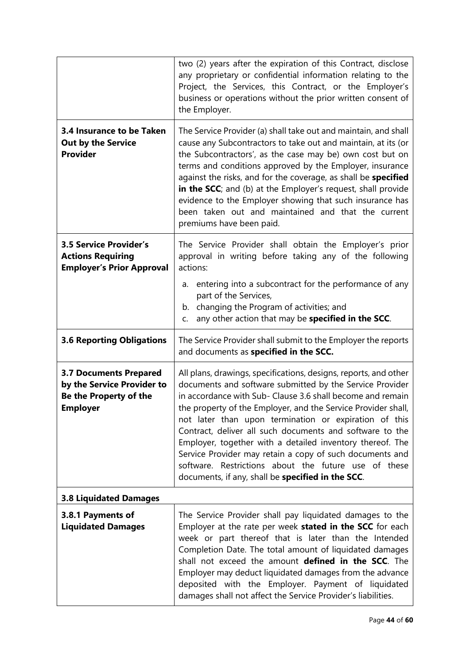|                                                                                                          | two (2) years after the expiration of this Contract, disclose<br>any proprietary or confidential information relating to the<br>Project, the Services, this Contract, or the Employer's<br>business or operations without the prior written consent of<br>the Employer.                                                                                                                                                                                                                                                                                                                                                |  |  |  |
|----------------------------------------------------------------------------------------------------------|------------------------------------------------------------------------------------------------------------------------------------------------------------------------------------------------------------------------------------------------------------------------------------------------------------------------------------------------------------------------------------------------------------------------------------------------------------------------------------------------------------------------------------------------------------------------------------------------------------------------|--|--|--|
| 3.4 Insurance to be Taken<br><b>Out by the Service</b><br><b>Provider</b>                                | The Service Provider (a) shall take out and maintain, and shall<br>cause any Subcontractors to take out and maintain, at its (or<br>the Subcontractors', as the case may be) own cost but on<br>terms and conditions approved by the Employer, insurance<br>against the risks, and for the coverage, as shall be specified<br>in the SCC; and (b) at the Employer's request, shall provide<br>evidence to the Employer showing that such insurance has<br>been taken out and maintained and that the current<br>premiums have been paid.                                                                               |  |  |  |
| <b>3.5 Service Provider's</b><br><b>Actions Requiring</b><br><b>Employer's Prior Approval</b>            | The Service Provider shall obtain the Employer's prior<br>approval in writing before taking any of the following<br>actions:<br>a. entering into a subcontract for the performance of any<br>part of the Services,                                                                                                                                                                                                                                                                                                                                                                                                     |  |  |  |
|                                                                                                          | b. changing the Program of activities; and<br>any other action that may be specified in the SCC.<br>C.                                                                                                                                                                                                                                                                                                                                                                                                                                                                                                                 |  |  |  |
| <b>3.6 Reporting Obligations</b>                                                                         | The Service Provider shall submit to the Employer the reports<br>and documents as specified in the SCC.                                                                                                                                                                                                                                                                                                                                                                                                                                                                                                                |  |  |  |
| <b>3.7 Documents Prepared</b><br>by the Service Provider to<br>Be the Property of the<br><b>Employer</b> | All plans, drawings, specifications, designs, reports, and other<br>documents and software submitted by the Service Provider<br>in accordance with Sub- Clause 3.6 shall become and remain<br>the property of the Employer, and the Service Provider shall,<br>not later than upon termination or expiration of this<br>Contract, deliver all such documents and software to the<br>Employer, together with a detailed inventory thereof. The<br>Service Provider may retain a copy of such documents and<br>software. Restrictions about the future use of these<br>documents, if any, shall be specified in the SCC. |  |  |  |
| <b>3.8 Liquidated Damages</b>                                                                            |                                                                                                                                                                                                                                                                                                                                                                                                                                                                                                                                                                                                                        |  |  |  |
| 3.8.1 Payments of<br><b>Liquidated Damages</b>                                                           | The Service Provider shall pay liquidated damages to the<br>Employer at the rate per week stated in the SCC for each<br>week or part thereof that is later than the Intended<br>Completion Date. The total amount of liquidated damages<br>shall not exceed the amount defined in the SCC. The<br>Employer may deduct liquidated damages from the advance<br>deposited with the Employer. Payment of liquidated<br>damages shall not affect the Service Provider's liabilities.                                                                                                                                        |  |  |  |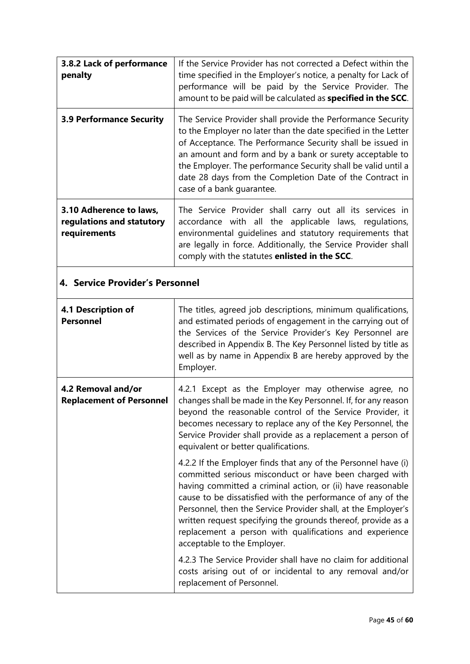| 3.8.2 Lack of performance<br>penalty                                       | If the Service Provider has not corrected a Defect within the<br>time specified in the Employer's notice, a penalty for Lack of<br>performance will be paid by the Service Provider. The<br>amount to be paid will be calculated as specified in the SCC.                                                                                                                                                         |  |
|----------------------------------------------------------------------------|-------------------------------------------------------------------------------------------------------------------------------------------------------------------------------------------------------------------------------------------------------------------------------------------------------------------------------------------------------------------------------------------------------------------|--|
| <b>3.9 Performance Security</b>                                            | The Service Provider shall provide the Performance Security<br>to the Employer no later than the date specified in the Letter<br>of Acceptance. The Performance Security shall be issued in<br>an amount and form and by a bank or surety acceptable to<br>the Employer. The performance Security shall be valid until a<br>date 28 days from the Completion Date of the Contract in<br>case of a bank guarantee. |  |
| 3.10 Adherence to laws,<br>regulations and statutory<br>requirements       | The Service Provider shall carry out all its services in<br>accordance with all the applicable laws, regulations,<br>environmental guidelines and statutory requirements that<br>are legally in force. Additionally, the Service Provider shall<br>comply with the statutes enlisted in the SCC.                                                                                                                  |  |
| 4. Service Provider's Personnel                                            |                                                                                                                                                                                                                                                                                                                                                                                                                   |  |
| 4.1 Description of<br><b>Personnel</b>                                     | The titles, agreed job descriptions, minimum qualifications,<br>and estimated periods of engagement in the carrying out of<br>the Services of the Service Provider's Key Personnel are<br>described in Appendix B. The Key Personnel listed by title as<br>well as by name in Appendix B are hereby approved by the<br>Employer.                                                                                  |  |
| 4.2 Removal and/or<br>4.2.1 Except as the Employer may otherwise agree, no |                                                                                                                                                                                                                                                                                                                                                                                                                   |  |

|                                                       | the Services of the Service Frovider's Key Fersonner are<br>described in Appendix B. The Key Personnel listed by title as<br>well as by name in Appendix B are hereby approved by the<br>Employer.                                                                                                                                                                                                                                                                                |
|-------------------------------------------------------|-----------------------------------------------------------------------------------------------------------------------------------------------------------------------------------------------------------------------------------------------------------------------------------------------------------------------------------------------------------------------------------------------------------------------------------------------------------------------------------|
| 4.2 Removal and/or<br><b>Replacement of Personnel</b> | 4.2.1 Except as the Employer may otherwise agree, no<br>changes shall be made in the Key Personnel. If, for any reason<br>beyond the reasonable control of the Service Provider, it<br>becomes necessary to replace any of the Key Personnel, the<br>Service Provider shall provide as a replacement a person of<br>equivalent or better qualifications.                                                                                                                          |
|                                                       | 4.2.2 If the Employer finds that any of the Personnel have (i)<br>committed serious misconduct or have been charged with<br>having committed a criminal action, or (ii) have reasonable<br>cause to be dissatisfied with the performance of any of the<br>Personnel, then the Service Provider shall, at the Employer's<br>written request specifying the grounds thereof, provide as a<br>replacement a person with qualifications and experience<br>acceptable to the Employer. |
|                                                       | 4.2.3 The Service Provider shall have no claim for additional<br>costs arising out of or incidental to any removal and/or<br>replacement of Personnel.                                                                                                                                                                                                                                                                                                                            |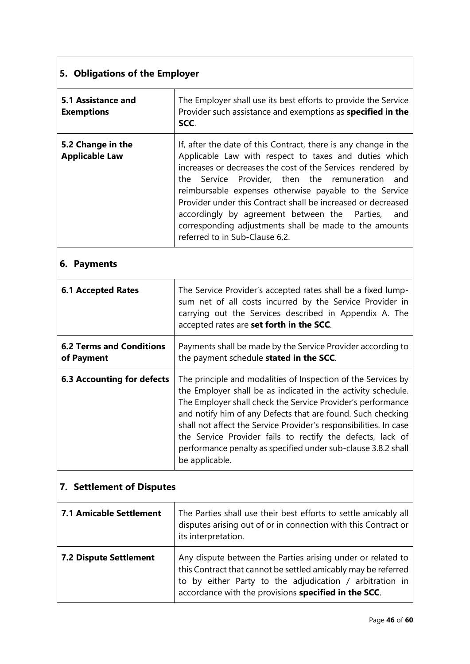# **5. Obligations of the Employer**

| 5.1 Assistance and<br><b>Exemptions</b>    | The Employer shall use its best efforts to provide the Service<br>Provider such assistance and exemptions as specified in the<br>SCC.                                                                                                                                                                                                                                                                                                                                                                                 |  |
|--------------------------------------------|-----------------------------------------------------------------------------------------------------------------------------------------------------------------------------------------------------------------------------------------------------------------------------------------------------------------------------------------------------------------------------------------------------------------------------------------------------------------------------------------------------------------------|--|
| 5.2 Change in the<br><b>Applicable Law</b> | If, after the date of this Contract, there is any change in the<br>Applicable Law with respect to taxes and duties which<br>increases or decreases the cost of the Services rendered by<br>the Service Provider, then the remuneration and<br>reimbursable expenses otherwise payable to the Service<br>Provider under this Contract shall be increased or decreased<br>accordingly by agreement between the Parties, and<br>corresponding adjustments shall be made to the amounts<br>referred to in Sub-Clause 6.2. |  |

# **6. Payments**

| <b>6.1 Accepted Rates</b>                     | The Service Provider's accepted rates shall be a fixed lump-<br>sum net of all costs incurred by the Service Provider in<br>carrying out the Services described in Appendix A. The<br>accepted rates are set forth in the SCC.                                                                                                                                                                                                                                                    |  |  |
|-----------------------------------------------|-----------------------------------------------------------------------------------------------------------------------------------------------------------------------------------------------------------------------------------------------------------------------------------------------------------------------------------------------------------------------------------------------------------------------------------------------------------------------------------|--|--|
| <b>6.2 Terms and Conditions</b><br>of Payment | Payments shall be made by the Service Provider according to<br>the payment schedule stated in the SCC.                                                                                                                                                                                                                                                                                                                                                                            |  |  |
| <b>6.3 Accounting for defects</b>             | The principle and modalities of Inspection of the Services by<br>the Employer shall be as indicated in the activity schedule.<br>The Employer shall check the Service Provider's performance<br>and notify him of any Defects that are found. Such checking<br>shall not affect the Service Provider's responsibilities. In case<br>the Service Provider fails to rectify the defects, lack of<br>performance penalty as specified under sub-clause 3.8.2 shall<br>be applicable. |  |  |

# **7. Settlement of Disputes**

| <b>7.1 Amicable Settlement</b> | The Parties shall use their best efforts to settle amicably all<br>disputes arising out of or in connection with this Contract or                                                                                                                                      |
|--------------------------------|------------------------------------------------------------------------------------------------------------------------------------------------------------------------------------------------------------------------------------------------------------------------|
| <b>7.2 Dispute Settlement</b>  | its interpretation.<br>Any dispute between the Parties arising under or related to<br>this Contract that cannot be settled amicably may be referred<br>to by either Party to the adjudication / arbitration in<br>accordance with the provisions specified in the SCC. |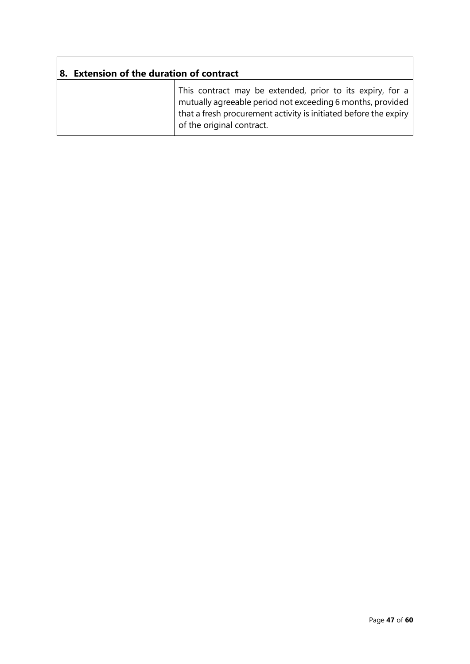| <b>Extension of the duration of contract</b> |                                                                                                                                                                                                                          |  |  |  |  |
|----------------------------------------------|--------------------------------------------------------------------------------------------------------------------------------------------------------------------------------------------------------------------------|--|--|--|--|
|                                              | This contract may be extended, prior to its expiry, for a<br>mutually agreeable period not exceeding 6 months, provided<br>that a fresh procurement activity is initiated before the expiry<br>of the original contract. |  |  |  |  |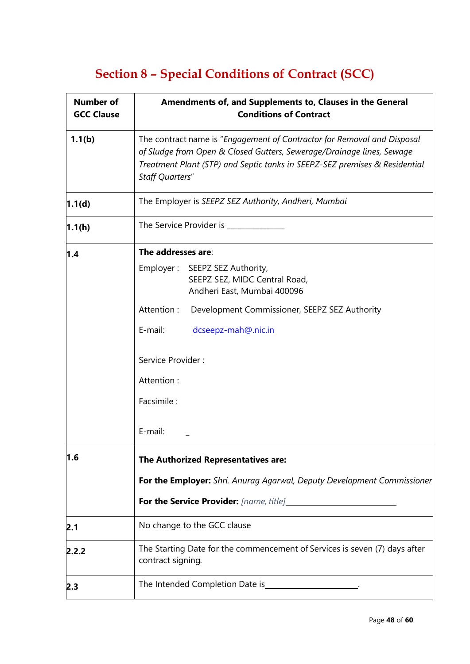# **Section 8 – Special Conditions of Contract (SCC)**

| <b>Number of</b><br><b>GCC Clause</b> | Amendments of, and Supplements to, Clauses in the General<br><b>Conditions of Contract</b>                                                                                                                                                               |  |  |  |
|---------------------------------------|----------------------------------------------------------------------------------------------------------------------------------------------------------------------------------------------------------------------------------------------------------|--|--|--|
| 1.1(b)                                | The contract name is "Engagement of Contractor for Removal and Disposal<br>of Sludge from Open & Closed Gutters, Sewerage/Drainage lines, Sewage<br>Treatment Plant (STP) and Septic tanks in SEEPZ-SEZ premises & Residential<br><b>Staff Quarters"</b> |  |  |  |
| 1.1(d)                                | The Employer is SEEPZ SEZ Authority, Andheri, Mumbai                                                                                                                                                                                                     |  |  |  |
| 1.1(h)                                | The Service Provider is _____________                                                                                                                                                                                                                    |  |  |  |
| 1.4                                   | The addresses are:                                                                                                                                                                                                                                       |  |  |  |
|                                       | Employer: SEEPZ SEZ Authority,<br>SEEPZ SEZ, MIDC Central Road,<br>Andheri East, Mumbai 400096                                                                                                                                                           |  |  |  |
|                                       | Attention:<br>Development Commissioner, SEEPZ SEZ Authority                                                                                                                                                                                              |  |  |  |
|                                       | E-mail:<br>dcseepz-mah@.nic.in                                                                                                                                                                                                                           |  |  |  |
|                                       | Service Provider:                                                                                                                                                                                                                                        |  |  |  |
|                                       | Attention:                                                                                                                                                                                                                                               |  |  |  |
|                                       | Facsimile:                                                                                                                                                                                                                                               |  |  |  |
|                                       | E-mail:                                                                                                                                                                                                                                                  |  |  |  |
| 1.6                                   | The Authorized Representatives are:                                                                                                                                                                                                                      |  |  |  |
|                                       | For the Employer: Shri. Anurag Agarwal, Deputy Development Commissioner                                                                                                                                                                                  |  |  |  |
|                                       |                                                                                                                                                                                                                                                          |  |  |  |
| 2.1                                   | No change to the GCC clause                                                                                                                                                                                                                              |  |  |  |
| 2.2.2                                 | The Starting Date for the commencement of Services is seven (7) days after<br>contract signing.                                                                                                                                                          |  |  |  |
| 2.3                                   | The Intended Completion Date is ______________________.                                                                                                                                                                                                  |  |  |  |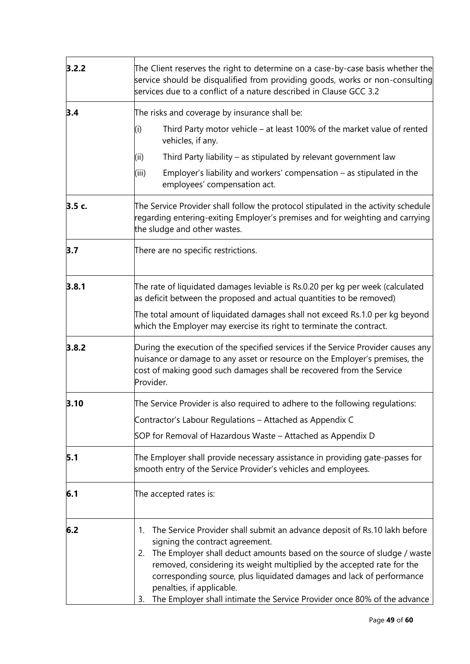| 3.2.2                                                    | The Client reserves the right to determine on a case-by-case basis whether the<br>service should be disqualified from providing goods, works or non-consulting<br>services due to a conflict of a nature described in Clause GCC 3.2                                                                                                                                                                                                                                   |  |  |  |
|----------------------------------------------------------|------------------------------------------------------------------------------------------------------------------------------------------------------------------------------------------------------------------------------------------------------------------------------------------------------------------------------------------------------------------------------------------------------------------------------------------------------------------------|--|--|--|
| 3.4                                                      | The risks and coverage by insurance shall be:                                                                                                                                                                                                                                                                                                                                                                                                                          |  |  |  |
|                                                          | Third Party motor vehicle $-$ at least 100% of the market value of rented<br>(i)<br>vehicles, if any.                                                                                                                                                                                                                                                                                                                                                                  |  |  |  |
|                                                          | Third Party liability – as stipulated by relevant government law<br>(ii)                                                                                                                                                                                                                                                                                                                                                                                               |  |  |  |
|                                                          | Employer's liability and workers' compensation $-$ as stipulated in the<br>(iii)<br>employees' compensation act.                                                                                                                                                                                                                                                                                                                                                       |  |  |  |
| 3.5c.                                                    | The Service Provider shall follow the protocol stipulated in the activity schedule<br>regarding entering-exiting Employer's premises and for weighting and carrying<br>the sludge and other wastes.                                                                                                                                                                                                                                                                    |  |  |  |
| 3.7                                                      | There are no specific restrictions.                                                                                                                                                                                                                                                                                                                                                                                                                                    |  |  |  |
| 3.8.1                                                    | The rate of liquidated damages leviable is Rs.0.20 per kg per week (calculated<br>as deficit between the proposed and actual quantities to be removed)                                                                                                                                                                                                                                                                                                                 |  |  |  |
|                                                          | The total amount of liquidated damages shall not exceed Rs.1.0 per kg beyond<br>which the Employer may exercise its right to terminate the contract.                                                                                                                                                                                                                                                                                                                   |  |  |  |
| 3.8.2                                                    | During the execution of the specified services if the Service Provider causes any<br>nuisance or damage to any asset or resource on the Employer's premises, the<br>cost of making good such damages shall be recovered from the Service<br>Provider.                                                                                                                                                                                                                  |  |  |  |
| 3.10                                                     | The Service Provider is also required to adhere to the following regulations:                                                                                                                                                                                                                                                                                                                                                                                          |  |  |  |
| Contractor's Labour Regulations - Attached as Appendix C |                                                                                                                                                                                                                                                                                                                                                                                                                                                                        |  |  |  |
|                                                          | SOP for Removal of Hazardous Waste - Attached as Appendix D                                                                                                                                                                                                                                                                                                                                                                                                            |  |  |  |
| 5.1                                                      | The Employer shall provide necessary assistance in providing gate-passes for<br>smooth entry of the Service Provider's vehicles and employees.                                                                                                                                                                                                                                                                                                                         |  |  |  |
| 6.1                                                      | The accepted rates is:                                                                                                                                                                                                                                                                                                                                                                                                                                                 |  |  |  |
| 6.2                                                      | The Service Provider shall submit an advance deposit of Rs.10 lakh before<br>1.<br>signing the contract agreement.<br>The Employer shall deduct amounts based on the source of sludge / waste<br>2.<br>removed, considering its weight multiplied by the accepted rate for the<br>corresponding source, plus liquidated damages and lack of performance<br>penalties, if applicable.<br>The Employer shall intimate the Service Provider once 80% of the advance<br>3. |  |  |  |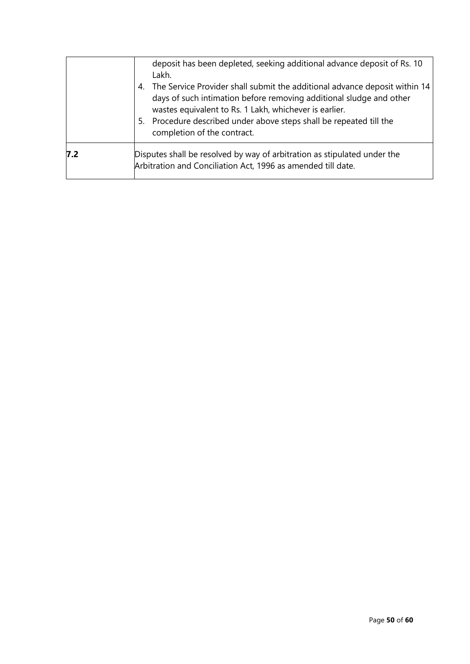| 7.2<br>Disputes shall be resolved by way of arbitration as stipulated under the<br>Arbitration and Conciliation Act, 1996 as amended till date. |  |
|-------------------------------------------------------------------------------------------------------------------------------------------------|--|
|                                                                                                                                                 |  |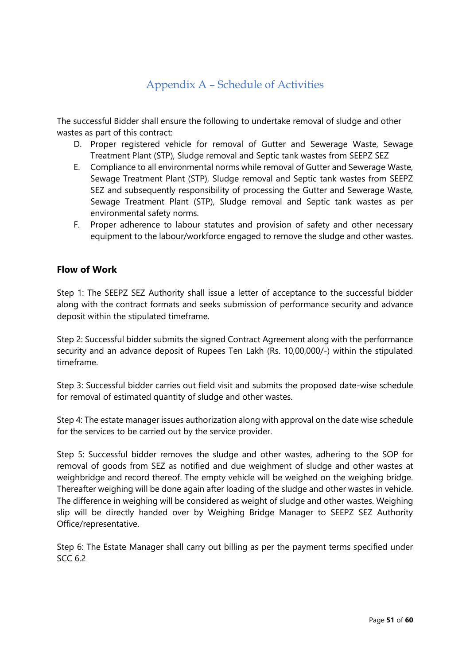# Appendix A – Schedule of Activities

The successful Bidder shall ensure the following to undertake removal of sludge and other wastes as part of this contract:

- D. Proper registered vehicle for removal of Gutter and Sewerage Waste, Sewage Treatment Plant (STP), Sludge removal and Septic tank wastes from SEEPZ SEZ
- E. Compliance to all environmental norms while removal of Gutter and Sewerage Waste, Sewage Treatment Plant (STP), Sludge removal and Septic tank wastes from SEEPZ SEZ and subsequently responsibility of processing the Gutter and Sewerage Waste, Sewage Treatment Plant (STP), Sludge removal and Septic tank wastes as per environmental safety norms.
- F. Proper adherence to labour statutes and provision of safety and other necessary equipment to the labour/workforce engaged to remove the sludge and other wastes.

### **Flow of Work**

Step 1: The SEEPZ SEZ Authority shall issue a letter of acceptance to the successful bidder along with the contract formats and seeks submission of performance security and advance deposit within the stipulated timeframe.

Step 2: Successful bidder submits the signed Contract Agreement along with the performance security and an advance deposit of Rupees Ten Lakh (Rs. 10,00,000/-) within the stipulated timeframe.

Step 3: Successful bidder carries out field visit and submits the proposed date-wise schedule for removal of estimated quantity of sludge and other wastes.

Step 4: The estate manager issues authorization along with approval on the date wise schedule for the services to be carried out by the service provider.

Step 5: Successful bidder removes the sludge and other wastes, adhering to the SOP for removal of goods from SEZ as notified and due weighment of sludge and other wastes at weighbridge and record thereof. The empty vehicle will be weighed on the weighing bridge. Thereafter weighing will be done again after loading of the sludge and other wastes in vehicle. The difference in weighing will be considered as weight of sludge and other wastes. Weighing slip will be directly handed over by Weighing Bridge Manager to SEEPZ SEZ Authority Office/representative.

Step 6: The Estate Manager shall carry out billing as per the payment terms specified under SCC 6.2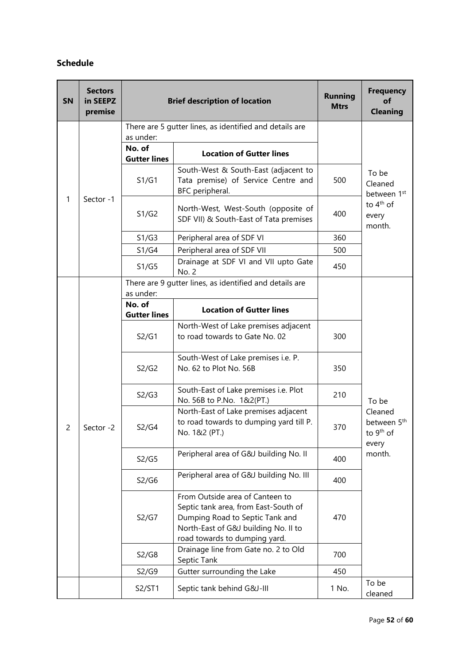### **Schedule**

| SN | <b>Sectors</b><br>in SEEPZ<br>premise |                               | <b>Brief description of location</b>                                                                                                                                                | <b>Running</b><br><b>Mtrs</b> | <b>Frequency</b><br>of<br><b>Cleaning</b>                            |
|----|---------------------------------------|-------------------------------|-------------------------------------------------------------------------------------------------------------------------------------------------------------------------------------|-------------------------------|----------------------------------------------------------------------|
|    | Sector -1                             | as under:                     | There are 5 gutter lines, as identified and details are                                                                                                                             |                               |                                                                      |
|    |                                       | No. of<br><b>Gutter lines</b> | <b>Location of Gutter lines</b>                                                                                                                                                     |                               | To be<br>Cleaned<br>between 1st                                      |
|    |                                       | S1/G1                         | South-West & South-East (adjacent to<br>Tata premise) of Service Centre and<br>BFC peripheral.                                                                                      | 500                           |                                                                      |
| 1  |                                       | S1/G2                         | North-West, West-South (opposite of<br>SDF VII) & South-East of Tata premises                                                                                                       | 400                           | to 4 <sup>th</sup> of<br>every<br>month.                             |
|    |                                       | S1/G3                         | Peripheral area of SDF VI                                                                                                                                                           | 360                           |                                                                      |
|    |                                       | S1/G4                         | Peripheral area of SDF VII                                                                                                                                                          | 500                           |                                                                      |
|    |                                       | S1/G5                         | Drainage at SDF VI and VII upto Gate<br>No. 2                                                                                                                                       | 450                           |                                                                      |
|    |                                       | as under:                     | There are 9 gutter lines, as identified and details are                                                                                                                             |                               |                                                                      |
|    |                                       | No. of<br><b>Gutter lines</b> | <b>Location of Gutter lines</b>                                                                                                                                                     |                               |                                                                      |
|    | Sector -2                             | S2/G1                         | North-West of Lake premises adjacent<br>to road towards to Gate No. 02                                                                                                              | 300                           |                                                                      |
|    |                                       | S2/G2                         | South-West of Lake premises i.e. P.<br>No. 62 to Plot No. 56B                                                                                                                       | 350                           |                                                                      |
|    |                                       | S2/G3                         | South-East of Lake premises i.e. Plot<br>No. 56B to P.No. 1&2(PT.)                                                                                                                  | 210                           | To be                                                                |
| 2  |                                       | S2/G4                         | North-East of Lake premises adjacent<br>to road towards to dumping yard till P.<br>No. 1&2 (PT.)                                                                                    | 370                           | Cleaned<br>between 5 <sup>th</sup><br>to 9 <sup>th</sup> of<br>every |
|    |                                       | S2/G5                         | Peripheral area of G&J building No. II                                                                                                                                              | 400                           | month.                                                               |
|    |                                       | S2/G6                         | Peripheral area of G&J building No. III                                                                                                                                             | 400                           |                                                                      |
|    |                                       | S2/G7                         | From Outside area of Canteen to<br>Septic tank area, from East-South of<br>Dumping Road to Septic Tank and<br>North-East of G&J building No. II to<br>road towards to dumping yard. | 470                           |                                                                      |
|    |                                       | S2/G8                         | Drainage line from Gate no. 2 to Old<br>Septic Tank                                                                                                                                 | 700                           |                                                                      |
|    |                                       | S2/G9                         | Gutter surrounding the Lake                                                                                                                                                         | 450                           |                                                                      |
|    |                                       | S2/ST1                        | Septic tank behind G&J-III                                                                                                                                                          | 1 No.                         | To be<br>cleaned                                                     |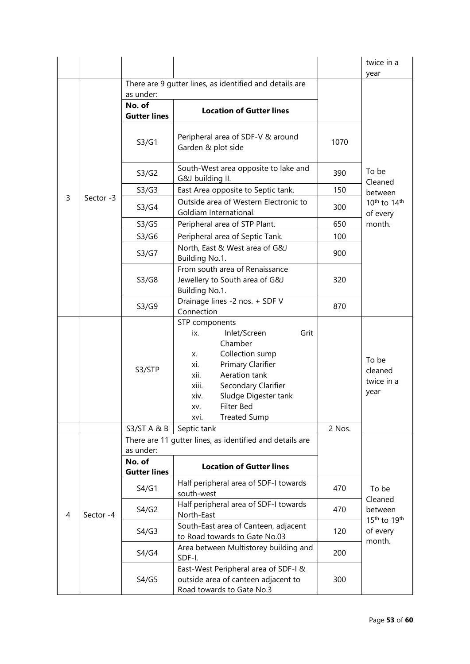|   |           |                               |                                                                                                                                                                                                                                                            |        | twice in a<br>year                                         |
|---|-----------|-------------------------------|------------------------------------------------------------------------------------------------------------------------------------------------------------------------------------------------------------------------------------------------------------|--------|------------------------------------------------------------|
|   |           |                               | There are 9 gutter lines, as identified and details are                                                                                                                                                                                                    |        |                                                            |
|   |           | as under:<br>No. of           |                                                                                                                                                                                                                                                            |        |                                                            |
|   |           | <b>Gutter lines</b>           | <b>Location of Gutter lines</b>                                                                                                                                                                                                                            |        |                                                            |
|   |           | S3/G1                         | Peripheral area of SDF-V & around<br>Garden & plot side                                                                                                                                                                                                    | 1070   |                                                            |
|   |           | S3/G2                         | South-West area opposite to lake and<br>G&J building II.                                                                                                                                                                                                   | 390    | To be<br>Cleaned                                           |
|   |           | S3/G3                         | East Area opposite to Septic tank.                                                                                                                                                                                                                         | 150    | between                                                    |
| 3 | Sector -3 | S3/G4                         | Outside area of Western Electronic to<br>Goldiam International.                                                                                                                                                                                            | 300    | 10 <sup>th</sup> to 14 <sup>th</sup><br>of every           |
|   |           | S3/G5                         | Peripheral area of STP Plant.                                                                                                                                                                                                                              | 650    | month.                                                     |
|   |           | S3/G6                         | Peripheral area of Septic Tank.                                                                                                                                                                                                                            | 100    |                                                            |
|   |           | S3/G7                         | North, East & West area of G&J<br>Building No.1.                                                                                                                                                                                                           | 900    |                                                            |
|   |           | S3/G8                         | From south area of Renaissance<br>Jewellery to South area of G&J<br>Building No.1.                                                                                                                                                                         | 320    |                                                            |
|   |           | S3/G9                         | Drainage lines -2 nos. + SDF V<br>Connection                                                                                                                                                                                                               | 870    |                                                            |
|   |           | S3/STP                        | STP components<br>Grit<br>Inlet/Screen<br>ix.<br>Chamber<br>Collection sump<br>Х.<br>Primary Clarifier<br>xi.<br>Aeration tank<br>xii.<br>xiii.<br>Secondary Clarifier<br>Sludge Digester tank<br>xiv.<br>Filter Bed<br>XV.<br><b>Treated Sump</b><br>XVI. |        | To be<br>cleaned<br>twice in a<br>year                     |
|   |           | S3/ST A & B                   | Septic tank                                                                                                                                                                                                                                                | 2 Nos. |                                                            |
|   |           | as under:                     | There are 11 gutter lines, as identified and details are                                                                                                                                                                                                   |        |                                                            |
|   | Sector -4 | No. of<br><b>Gutter lines</b> | <b>Location of Gutter lines</b>                                                                                                                                                                                                                            |        |                                                            |
|   |           | S4/G1                         | Half peripheral area of SDF-I towards<br>south-west                                                                                                                                                                                                        | 470    | To be                                                      |
| 4 |           | S4/G2                         | Half peripheral area of SDF-I towards<br>North-East                                                                                                                                                                                                        | 470    | Cleaned<br>between<br>15 <sup>th</sup> to 19 <sup>th</sup> |
|   |           | S4/G3                         | South-East area of Canteen, adjacent<br>to Road towards to Gate No.03                                                                                                                                                                                      | 120    | of every<br>month.                                         |
|   |           | S4/G4                         | Area between Multistorey building and<br>SDF-I.                                                                                                                                                                                                            | 200    |                                                            |
|   |           | S4/G5                         | East-West Peripheral area of SDF-I &<br>outside area of canteen adjacent to<br>Road towards to Gate No.3                                                                                                                                                   | 300    |                                                            |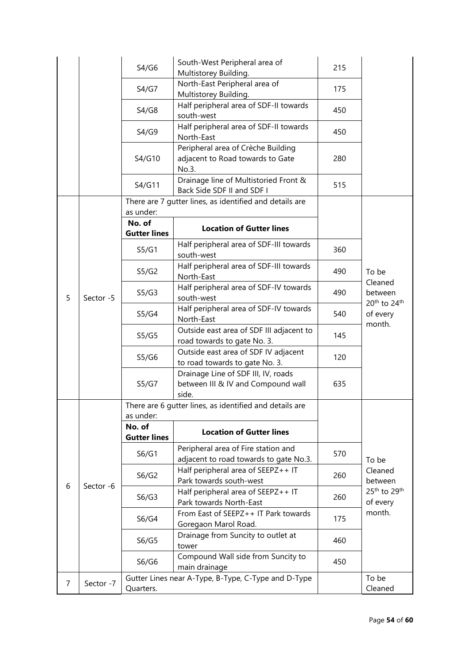|   |           | S4/G6                                                                | South-West Peripheral area of<br>Multistorey Building.                             | 215 |                                                                                           |
|---|-----------|----------------------------------------------------------------------|------------------------------------------------------------------------------------|-----|-------------------------------------------------------------------------------------------|
|   |           | S4/G7                                                                | North-East Peripheral area of<br>Multistorey Building.                             | 175 |                                                                                           |
|   |           | S4/G8                                                                | Half peripheral area of SDF-II towards<br>south-west                               | 450 |                                                                                           |
|   |           | S4/G9                                                                | Half peripheral area of SDF-II towards<br>North-East                               | 450 |                                                                                           |
|   |           | S4/G10                                                               | Peripheral area of Crèche Building<br>adjacent to Road towards to Gate<br>No.3.    | 280 |                                                                                           |
|   |           | S4/G11                                                               | Drainage line of Multistoried Front &<br>Back Side SDF II and SDF I                | 515 |                                                                                           |
|   |           | There are 7 gutter lines, as identified and details are<br>as under: |                                                                                    |     |                                                                                           |
| 5 | Sector -5 | No. of<br><b>Gutter lines</b>                                        | <b>Location of Gutter lines</b>                                                    |     |                                                                                           |
|   |           | S5/G1                                                                | Half peripheral area of SDF-III towards<br>south-west                              | 360 | To be<br>Cleaned<br>between<br>20th to 24th<br>of every<br>month.                         |
|   |           | S5/G2                                                                | Half peripheral area of SDF-III towards<br>North-East                              | 490 |                                                                                           |
|   |           | S5/G3                                                                | Half peripheral area of SDF-IV towards<br>south-west                               | 490 |                                                                                           |
|   |           | S5/G4                                                                | Half peripheral area of SDF-IV towards<br>North-East                               | 540 |                                                                                           |
|   |           | S5/G5                                                                | Outside east area of SDF III adjacent to<br>road towards to gate No. 3.            | 145 |                                                                                           |
|   |           | S5/G6                                                                | Outside east area of SDF IV adjacent<br>to road towards to gate No. 3.             | 120 |                                                                                           |
| 6 | Sector -6 | S5/G7                                                                | Drainage Line of SDF III, IV, roads<br>between III & IV and Compound wall<br>side. | 635 |                                                                                           |
|   |           | There are 6 gutter lines, as identified and details are<br>as under: |                                                                                    |     |                                                                                           |
|   |           | No. of<br><b>Gutter lines</b>                                        | <b>Location of Gutter lines</b>                                                    |     |                                                                                           |
|   |           | S6/G1                                                                | Peripheral area of Fire station and<br>adjacent to road towards to gate No.3.      | 570 | To be<br>Cleaned<br>between<br>25 <sup>th</sup> to 29 <sup>th</sup><br>of every<br>month. |
|   |           | S6/G2                                                                | Half peripheral area of SEEPZ++ IT<br>Park towards south-west                      | 260 |                                                                                           |
|   |           | S6/G3                                                                | Half peripheral area of SEEPZ++ IT<br>Park towards North-East                      | 260 |                                                                                           |
|   |           | S6/G4                                                                | From East of SEEPZ++ IT Park towards<br>Goregaon Marol Road.                       | 175 |                                                                                           |
|   |           | S6/G5                                                                | Drainage from Suncity to outlet at<br>tower                                        | 460 |                                                                                           |
|   |           | S6/G6                                                                | Compound Wall side from Suncity to<br>main drainage                                | 450 |                                                                                           |
| 7 | Sector -7 | Quarters.                                                            | Gutter Lines near A-Type, B-Type, C-Type and D-Type                                |     | To be<br>Cleaned                                                                          |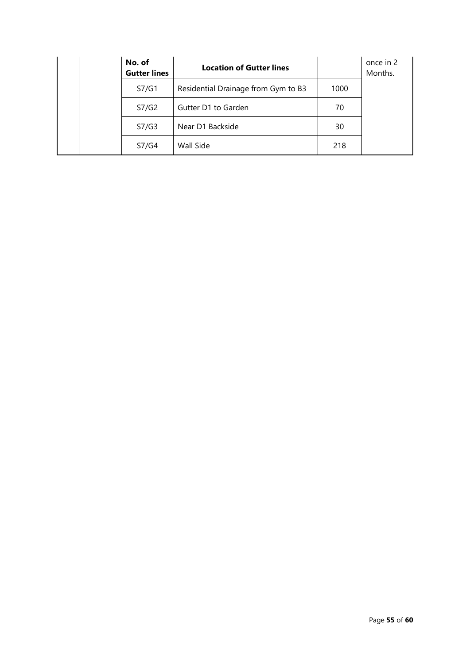| No. of<br><b>Gutter lines</b> | <b>Location of Gutter lines</b>     |      | once in 2<br>Months. |
|-------------------------------|-------------------------------------|------|----------------------|
| S7/G1                         | Residential Drainage from Gym to B3 | 1000 |                      |
| S7/G2                         | Gutter D1 to Garden                 | 70   |                      |
| S7/G3                         | Near D1 Backside                    | 30   |                      |
| S7/G4                         | Wall Side                           | 218  |                      |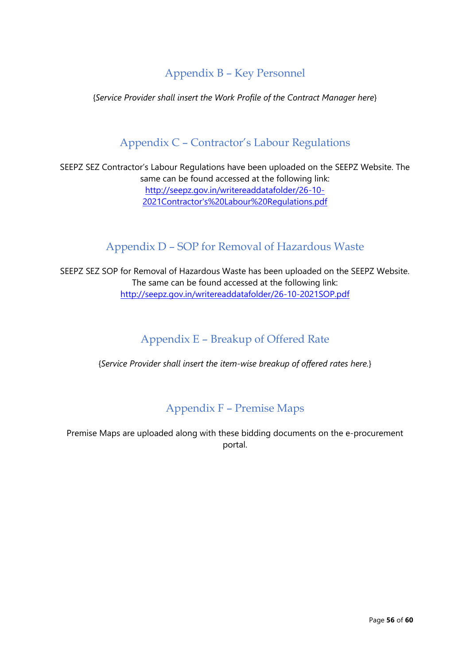# Appendix B – Key Personnel

{*Service Provider shall insert the Work Profile of the Contract Manager here*}

# Appendix C – Contractor's Labour Regulations

SEEPZ SEZ Contractor's Labour Regulations have been uploaded on the SEEPZ Website. The same can be found accessed at the following link: [http://seepz.gov.in/writereaddatafolder/26-10-](http://seepz.gov.in/writereaddatafolder/26-10-2021Contractor) [2021Contractor's%20Labour%20Regulations.pdf](http://seepz.gov.in/writereaddatafolder/26-10-2021Contractor)

# Appendix D – SOP for Removal of Hazardous Waste

SEEPZ SEZ SOP for Removal of Hazardous Waste has been uploaded on the SEEPZ Website. The same can be found accessed at the following link: <http://seepz.gov.in/writereaddatafolder/26-10-2021SOP.pdf>

# Appendix E – Breakup of Offered Rate

{*Service Provider shall insert the item-wise breakup of offered rates here.*}

# Appendix F – Premise Maps

Premise Maps are uploaded along with these bidding documents on the e-procurement portal.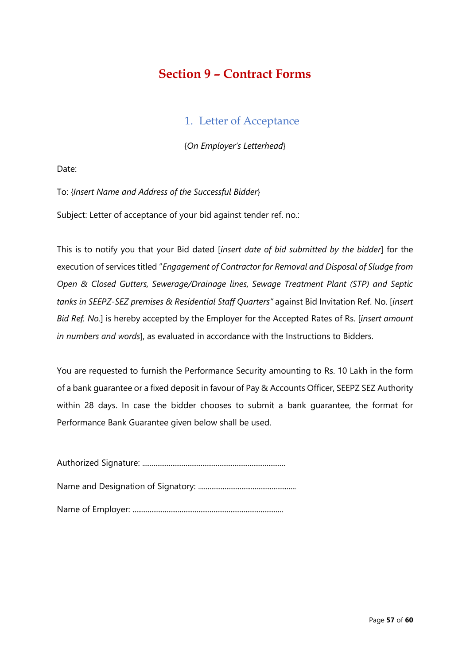# **Section 9 – Contract Forms**

## 1. Letter of Acceptance

{*On Employer's Letterhead*}

Date:

To: {*Insert Name and Address of the Successful Bidder*}

Subject: Letter of acceptance of your bid against tender ref. no.:

This is to notify you that your Bid dated [*insert date of bid submitted by the bidder*] for the execution of services titled "*Engagement of Contractor for Removal and Disposal of Sludge from Open & Closed Gutters, Sewerage/Drainage lines, Sewage Treatment Plant (STP) and Septic tanks in SEEPZ-SEZ premises & Residential Staff Quarters"* against Bid Invitation Ref. No. [*insert Bid Ref. No.*] is hereby accepted by the Employer for the Accepted Rates of Rs. [*insert amount in numbers and words*], as evaluated in accordance with the Instructions to Bidders.

You are requested to furnish the Performance Security amounting to Rs. 10 Lakh in the form of a bank guarantee or a fixed deposit in favour of Pay & Accounts Officer, SEEPZ SEZ Authority within 28 days. In case the bidder chooses to submit a bank guarantee, the format for Performance Bank Guarantee given below shall be used.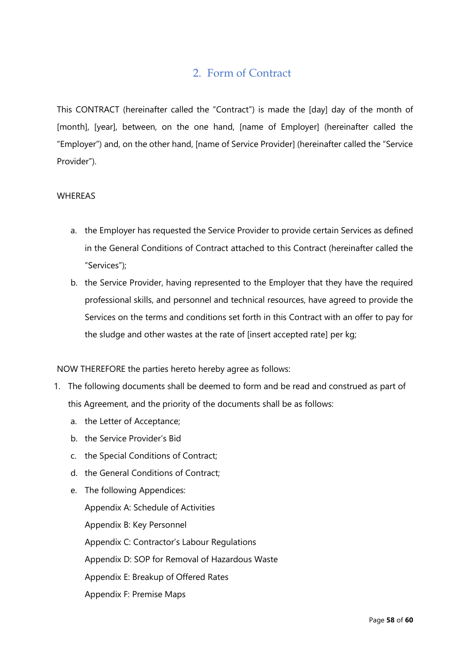# 2. Form of Contract

This CONTRACT (hereinafter called the "Contract") is made the [day] day of the month of [month], [year], between, on the one hand, [name of Employer] (hereinafter called the "Employer") and, on the other hand, [name of Service Provider] (hereinafter called the "Service Provider").

#### WHEREAS

- a. the Employer has requested the Service Provider to provide certain Services as defined in the General Conditions of Contract attached to this Contract (hereinafter called the "Services");
- b. the Service Provider, having represented to the Employer that they have the required professional skills, and personnel and technical resources, have agreed to provide the Services on the terms and conditions set forth in this Contract with an offer to pay for the sludge and other wastes at the rate of [insert accepted rate] per kg;

NOW THEREFORE the parties hereto hereby agree as follows:

- 1. The following documents shall be deemed to form and be read and construed as part of this Agreement, and the priority of the documents shall be as follows:
	- a. the Letter of Acceptance;
	- b. the Service Provider's Bid
	- c. the Special Conditions of Contract;
	- d. the General Conditions of Contract;
	- e. The following Appendices: Appendix A: Schedule of Activities Appendix B: Key Personnel Appendix C: Contractor's Labour Regulations Appendix D: SOP for Removal of Hazardous Waste Appendix E: Breakup of Offered Rates Appendix F: Premise Maps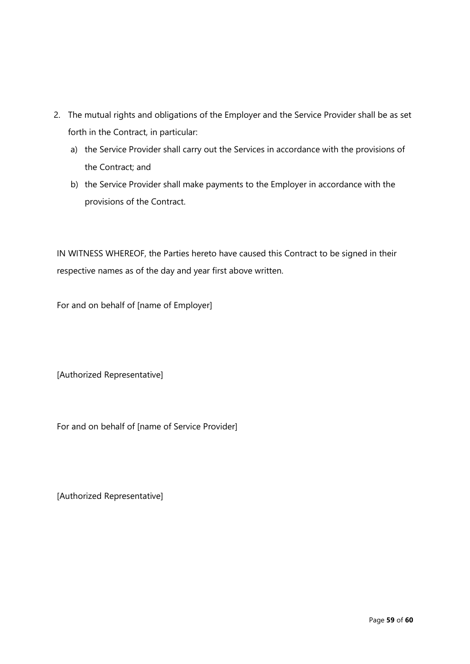- 2. The mutual rights and obligations of the Employer and the Service Provider shall be as set forth in the Contract, in particular:
	- a) the Service Provider shall carry out the Services in accordance with the provisions of the Contract; and
	- b) the Service Provider shall make payments to the Employer in accordance with the provisions of the Contract.

IN WITNESS WHEREOF, the Parties hereto have caused this Contract to be signed in their respective names as of the day and year first above written.

For and on behalf of [name of Employer]

[Authorized Representative]

For and on behalf of [name of Service Provider]

[Authorized Representative]